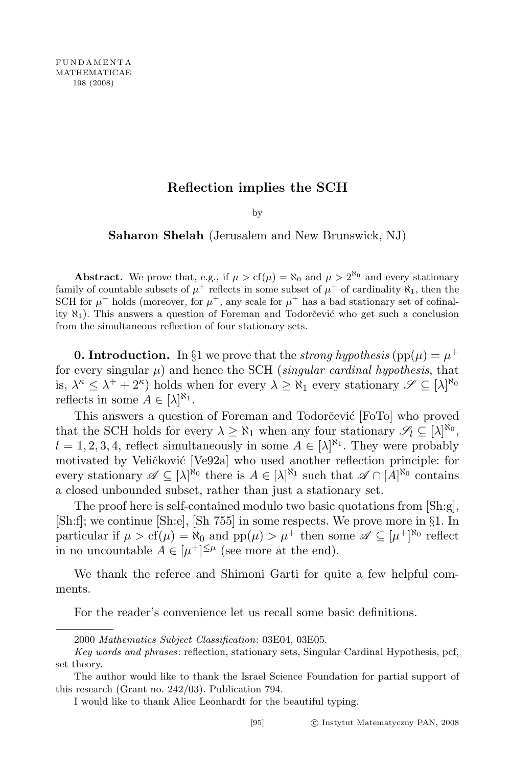## Reflection implies the SCH

by

Saharon Shelah (Jerusalem and New Brunswick, NJ)

Abstract. We prove that, e.g., if  $\mu > cf(\mu) = \aleph_0$  and  $\mu > 2^{\aleph_0}$  and every stationary family of countable subsets of  $\mu^+$  reflects in some subset of  $\mu^+$  of cardinality  $\aleph_1$ , then the SCH for  $\mu^+$  holds (moreover, for  $\mu^+$ , any scale for  $\mu^+$  has a bad stationary set of cofinality  $\aleph_1$ ). This answers a question of Foreman and Todorčević who get such a conclusion from the simultaneous reflection of four stationary sets.

**0. Introduction.** In §1 we prove that the *strong hypothesis* (pp( $\mu$ ) =  $\mu$ <sup>+</sup> for every singular  $\mu$ ) and hence the SCH (singular cardinal hypothesis, that is,  $\lambda^{\kappa} \leq \lambda^+ + 2^{\kappa}$ ) holds when for every  $\lambda \geq \aleph_1$  every stationary  $\mathscr{S} \subseteq [\lambda]^{\aleph_0}$ reflects in some  $A \in [\lambda]^{\aleph_1}$ .

This answers a question of Foreman and Todorčević [FoTo] who proved that the SCH holds for every  $\lambda \geq \aleph_1$  when any four stationary  $\mathscr{S}_l \subseteq [\lambda]^{\aleph_0}$ ,  $l = 1, 2, 3, 4$ , reflect simultaneously in some  $A \in [\lambda]^{\aleph_1}$ . They were probably motivated by Veličković [Ve92a] who used another reflection principle: for every stationary  $\mathscr{A} \subseteq [\lambda]^{\aleph_0}$  there is  $A \in [\lambda]^{\aleph_1}$  such that  $\mathscr{A} \cap [A]^{\aleph_0}$  contains a closed unbounded subset, rather than just a stationary set.

The proof here is self-contained modulo two basic quotations from [Sh:g], [Sh:f]; we continue [Sh:e], [Sh 755] in some respects. We prove more in §1. In particular if  $\mu > cf(\mu) = \aleph_0$  and  $pp(\mu) > \mu^+$  then some  $\mathscr{A} \subseteq [\mu^+]^{\aleph_0}$  reflect in no uncountable  $A \in [\mu^+]^{\leq \mu}$  (see more at the end).

We thank the referee and Shimoni Garti for quite a few helpful comments.

For the reader's convenience let us recall some basic definitions.

<sup>2000</sup> Mathematics Subject Classification: 03E04, 03E05.

Key words and phrases: reflection, stationary sets, Singular Cardinal Hypothesis, pcf, set theory.

The author would like to thank the Israel Science Foundation for partial support of this research (Grant no. 242/03). Publication 794.

I would like to thank Alice Leonhardt for the beautiful typing.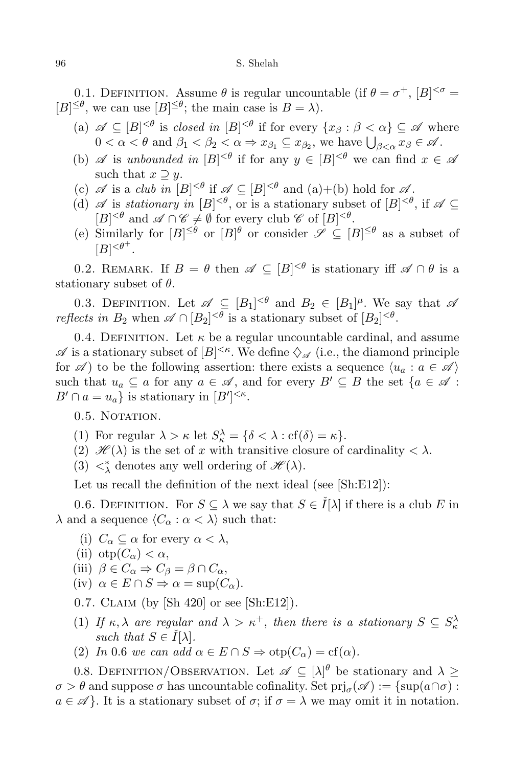0.1. DEFINITION. Assume  $\theta$  is regular uncountable (if  $\theta = \sigma^+$ ,  $[B]^{<\sigma}$  =  $[B]^{\leq \theta}$ , we can use  $[B]^{\leq \theta}$ ; the main case is  $B = \lambda$ ).

- (a)  $\mathscr{A} \subseteq [B]^{<\theta}$  is *closed in*  $[B]^{<\theta}$  if for every  $\{x_\beta : \beta < \alpha\} \subseteq \mathscr{A}$  where  $0 < \alpha < \theta$  and  $\beta_1 < \beta_2 < \alpha \Rightarrow x_{\beta_1} \subseteq x_{\beta_2}$ , we have  $\bigcup_{\beta < \alpha} x_{\beta} \in \mathscr{A}$ .
- (b)  $\mathscr A$  is unbounded in  $[B]^{<\theta}$  if for any  $y \in [B]^{<\theta}$  we can find  $x \in \mathscr A$ such that  $x \supseteq y$ .
- (c)  $\mathscr A$  is a *club in*  $[B]^{<\theta}$  if  $\mathscr A \subseteq [B]^{<\theta}$  and  $(a)+(b)$  hold for  $\mathscr A$ .
- (d)  $\mathscr A$  is stationary in  $[B]^{<\theta}$ , or is a stationary subset of  $[B]^{<\theta}$ , if  $\mathscr A \subseteq$  $[B]^{<\theta}$  and  $\mathscr{A} \cap \mathscr{C} \neq \emptyset$  for every club  $\mathscr{C}$  of  $[B]^{<\theta}$ .
- (e) Similarly for  $[B]^{\leq \theta}$  or  $[B]^{\theta}$  or consider  $\mathscr{S} \subseteq [B]^{\leq \theta}$  as a subset of  $[B]^{<\theta^+}.$

0.2. REMARK. If  $B = \theta$  then  $\mathscr{A} \subseteq [B]^{< \theta}$  is stationary iff  $\mathscr{A} \cap \theta$  is a stationary subset of  $\theta$ .

0.3. DEFINITION. Let  $\mathscr{A} \subseteq [B_1]^{<\theta}$  and  $B_2 \in [B_1]^{\mu}$ . We say that  $\mathscr{A}$ reflects in  $B_2$  when  $\mathscr{A} \cap [B_2]^{<\theta}$  is a stationary subset of  $[B_2]^{<\theta}$ .

0.4. DEFINITION. Let  $\kappa$  be a regular uncountable cardinal, and assume  $\mathscr A$  is a stationary subset of  $[B]^{<\kappa}$ . We define  $\diamondsuit_{\mathscr A}$  (i.e., the diamond principle for  $\mathscr A$  to be the following assertion: there exists a sequence  $\langle u_a : a \in \mathscr A \rangle$ such that  $u_a \subseteq a$  for any  $a \in \mathcal{A}$ , and for every  $B' \subseteq B$  the set  $\{a \in \mathcal{A}$ :  $B' \cap a = u_a$  is stationary in  $[B']^{<\kappa}$ .

0.5. NOTATION.

- (1) For regular  $\lambda > \kappa$  let  $S_{\kappa}^{\lambda} = {\delta < \lambda : cf(\delta) = \kappa}.$
- (2)  $\mathcal{H}(\lambda)$  is the set of x with transitive closure of cardinality  $\langle \lambda \rangle$ .
- (3) < $\chi^*$  denotes any well ordering of  $\mathscr{H}(\lambda)$ .

Let us recall the definition of the next ideal (see [Sh:E12]):

0.6. DEFINITION. For  $S \subseteq \lambda$  we say that  $S \in I[\lambda]$  if there is a club E in  $\lambda$  and a sequence  $\langle C_\alpha : \alpha < \lambda \rangle$  such that:

- (i)  $C_{\alpha} \subseteq \alpha$  for every  $\alpha < \lambda$ ,
- (ii) otp $(C_\alpha) < \alpha$ ,
- (iii)  $\beta \in C_{\alpha} \Rightarrow C_{\beta} = \beta \cap C_{\alpha}$ ,
- (iv)  $\alpha \in E \cap S \Rightarrow \alpha = \sup(C_{\alpha}).$
- 0.7. Claim (by [Sh 420] or see [Sh:E12]).
- (1) If  $\kappa, \lambda$  are regular and  $\lambda > \kappa^+$ , then there is a stationary  $S \subseteq S_{\kappa}^{\lambda}$ such that  $S \in I[\lambda]$ .
- (2) In 0.6 we can add  $\alpha \in E \cap S \Rightarrow \text{otp}(C_{\alpha}) = \text{cf}(\alpha)$ .

0.8. DEFINITION/OBSERVATION. Let  $\mathscr{A} \subseteq [\lambda]^\theta$  be stationary and  $\lambda \geq$  $\sigma > \theta$  and suppose  $\sigma$  has uncountable cofinality. Set  $\text{pri}_{\sigma}(\mathscr{A}) := \{ \text{sup}(a \cap \sigma) :$  $a \in \mathscr{A}$ . It is a stationary subset of  $\sigma$ ; if  $\sigma = \lambda$  we may omit it in notation.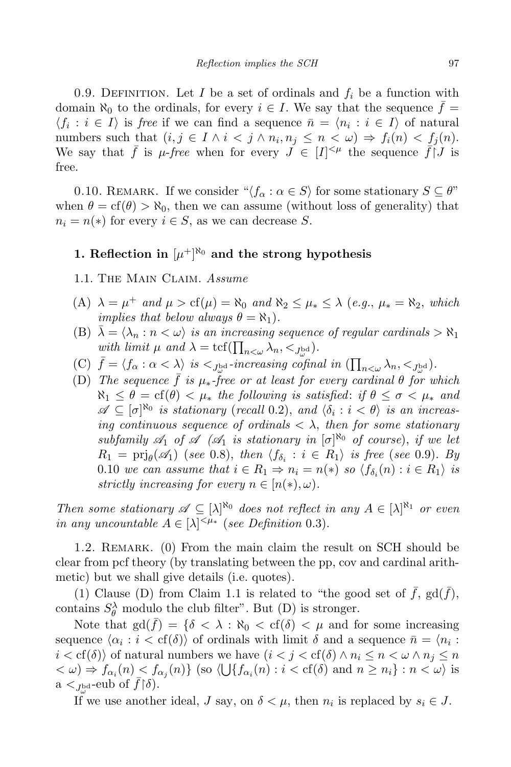0.9. DEFINITION. Let I be a set of ordinals and  $f_i$  be a function with domain  $\aleph_0$  to the ordinals, for every  $i \in I$ . We say that the sequence  $\bar{f}$  =  $\langle f_i : i \in I \rangle$  is free if we can find a sequence  $\bar{n} = \langle n_i : i \in I \rangle$  of natural numbers such that  $(i, j \in I \land i < j \land n_i, n_j \leq n < \omega) \Rightarrow f_i(n) < f_j(n)$ . We say that  $\bar{f}$  is  $\mu$ -free when for every  $J \in [I]^{\leq \mu}$  the sequence  $\bar{f} \restriction J$  is free.

0.10. REMARK. If we consider " $\langle f_\alpha : \alpha \in S \rangle$  for some stationary  $S \subseteq \theta$ " when  $\theta = \text{cf}(\theta) > \aleph_0$ , then we can assume (without loss of generality) that  $n_i = n(*)$  for every  $i \in S$ , as we can decrease S.

## 1. Reflection in  $[\mu^+]^{\aleph_0}$  and the strong hypothesis

1.1. THE MAIN CLAIM. Assume

- (A)  $\lambda = \mu^+$  and  $\mu > cf(\mu) = \aleph_0$  and  $\aleph_2 \leq \mu_* \leq \lambda$  (e.g.,  $\mu_* = \aleph_2$ , which *implies that below always*  $\theta = \aleph_1$ .
- (B)  $\lambda = \langle \lambda_n : n < \omega \rangle$  is an increasing sequence of regular cardinals  $> \aleph_1$ with limit  $\mu$  and  $\lambda = \text{tcf}(\prod_{n<\omega} \lambda_n, \leq_{J^{\text{bd}}_{\omega}}).$
- (C)  $\bar{f} = \langle f_{\alpha} : \alpha < \lambda \rangle$  is  $\langle f_{\omega}^{\text{bd}} \rangle$ -increasing cofinal in  $(\prod_{n \leq \omega} \lambda_n, \langle f_{\omega}^{\text{bd}} \rangle)$ .
- (D) The sequence  $\bar{f}$  is  $\mu_*$ -free or at least for every cardinal  $\theta$  for which  $\aleph_1 \leq \theta = \text{cf}(\theta) < \mu_*$  the following is satisfied: if  $\theta \leq \sigma < \mu_*$  and  $\mathscr{A} \subseteq [\sigma]^{\aleph_0}$  is stationary (recall 0.2), and  $\langle \delta_i : i < \theta \rangle$  is an increasing continuous sequence of ordinals  $\langle \lambda \rangle$ , then for some stationary subfamily  $\mathscr{A}_1$  of  $\mathscr{A}$  ( $\mathscr{A}_1$  is stationary in  $[\sigma]^{\aleph_0}$  of course), if we let  $R_1 = \text{prj}_{\theta}(\mathscr{A}_1)$  (see 0.8), then  $\langle f_{\delta_i} : i \in R_1 \rangle$  is free (see 0.9). By 0.10 we can assume that  $i \in R_1 \Rightarrow n_i = n(*)$  so  $\langle f_{\delta_i}(n) : i \in R_1 \rangle$  is strictly increasing for every  $n \in [n(*), \omega)$ .

Then some stationary  $\mathscr{A} \subseteq [\lambda]^{\aleph_0}$  does not reflect in any  $A \in [\lambda]^{\aleph_1}$  or even in any uncountable  $A \in [\lambda]^{<\mu_*}$  (see Definition 0.3).

1.2. REMARK. (0) From the main claim the result on SCH should be clear from pcf theory (by translating between the pp, cov and cardinal arithmetic) but we shall give details (i.e. quotes).

(1) Clause (D) from Claim 1.1 is related to "the good set of  $\bar{f}$ , gd $(\bar{f})$ , contains  $S^{\lambda}_{\theta}$  modulo the club filter". But (D) is stronger.

Note that  $\text{gd}(f) = \{\delta < \lambda : \aleph_0 < \text{cf}(\delta) < \mu \text{ and for some increasing }\}$ sequence  $\langle \alpha_i : i < \text{cf}(\delta) \rangle$  of ordinals with limit  $\delta$  and a sequence  $\bar{n} = \langle n_i :$  $i < \text{cf}(\delta)$  of natural numbers we have  $(i < j < \text{cf}(\delta) \land n_i \leq n < \omega \land n_j \leq n$  $\langle \alpha \rangle \Rightarrow f_{\alpha_i}(n) \leq f_{\alpha_j}(n) \}$  (so  $\langle \bigcup \{ f_{\alpha_i}(n) : i < \text{cf}(\delta) \text{ and } n \geq n_i \} : n < \omega \rangle$  is  $a <_{J_{\omega}^{\text{bd}}}$ -eub of  $\bar{f}(\delta)$ .

If we use another ideal,  $J$  say, on  $\delta < \mu$ , then  $n_i$  is replaced by  $s_i \in J$ .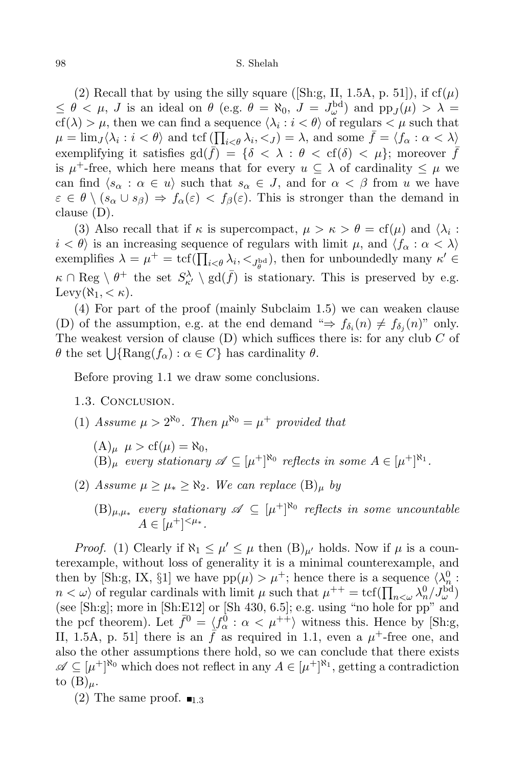(2) Recall that by using the silly square ([Sh:g, II, 1.5A, p. 51]), if  $cf(\mu)$  $\leq \theta < \mu$ , *J* is an ideal on  $\theta$  (e.g.  $\theta = \aleph_0$ ,  $J = J_{\omega}^{\text{bd}}$ ) and  $\text{pp}_J(\mu) > \lambda =$  $\text{cf}(\lambda) > \mu$ , then we can find a sequence  $\langle \lambda_i : i < \theta \rangle$  of regulars  $\langle \mu \rangle$  such that  $\mu = \lim_{J} \langle \lambda_i : i < \theta \rangle$  and tcf  $(\prod_{i < \theta} \lambda_i, <_J) = \lambda$ , and some  $\bar{f} = \langle f_{\alpha} : \alpha < \lambda \rangle$ exemplifying it satisfies  $\text{gd}(\bar{f}) = \{\delta < \lambda : \theta < \text{cf}(\delta) < \mu\}$ ; moreover  $\bar{f}$ is  $\mu^+$ -free, which here means that for every  $u \subseteq \lambda$  of cardinality  $\leq \mu$  we can find  $\langle s_\alpha : \alpha \in u \rangle$  such that  $s_\alpha \in J$ , and for  $\alpha < \beta$  from u we have  $\varepsilon \in \theta \setminus (s_\alpha \cup s_\beta) \Rightarrow f_\alpha(\varepsilon) < f_\beta(\varepsilon)$ . This is stronger than the demand in clause (D).

(3) Also recall that if  $\kappa$  is supercompact,  $\mu > \kappa > \theta = \text{cf}(\mu)$  and  $\langle \lambda_i :$  $i < \theta$  is an increasing sequence of regulars with limit  $\mu$ , and  $\langle f_{\alpha} : \alpha < \lambda \rangle$ exemplifies  $\lambda = \mu^+ = \text{tcf}(\prod_{i < \theta} \lambda_i, \langle_{J_{\theta}^{\text{bd}}}\rangle)$ , then for unboundedly many  $\kappa' \in$  $\kappa \cap \text{Reg } \setminus \theta^+$  the set  $S^{\lambda}_{\kappa'} \setminus \text{gd}(\bar{f})$  is stationary. This is preserved by e.g.  $\text{Levy}(\aleph_1, <\kappa).$ 

(4) For part of the proof (mainly Subclaim 1.5) we can weaken clause (D) of the assumption, e.g. at the end demand " $\Rightarrow f_{\delta_i}(n) \neq f_{\delta_j}(n)$ " only. The weakest version of clause  $(D)$  which suffices there is: for any club  $C$  of  $\theta$  the set  $\bigcup{\text{Rang}(f_{\alpha}) : \alpha \in C}$  has cardinality  $\theta$ .

Before proving 1.1 we draw some conclusions.

- 1.3. Conclusion.
- (1) Assume  $\mu > 2^{\aleph_0}$ . Then  $\mu^{\aleph_0} = \mu^+$  provided that
	- $(A)<sub>\mu</sub> \mu > cf(\mu) = \aleph_0$ ,  $(B)_{\mu}$  every stationary  $\mathscr{A} \subseteq [\mu^+]^{\aleph_0}$  reflects in some  $A \in [\mu^+]^{\aleph_1}$ .
- (2) Assume  $\mu \geq \mu_* \geq \aleph_2$ . We can replace  $(B)_\mu$  by
	- $(B)_{\mu,\mu_*}$  every stationary  $\mathscr{A} \subseteq [\mu^+]^{\aleph_0}$  reflects in some uncountable  $A \in [\mu^+]^{<\mu_*}.$

*Proof.* (1) Clearly if  $\aleph_1 \leq \mu' \leq \mu$  then  $(B)_{\mu'}$  holds. Now if  $\mu$  is a counterexample, without loss of generality it is a minimal counterexample, and then by [Sh:g, IX, §1] we have  $pp(\mu) > \mu^+$ ; hence there is a sequence  $\langle \lambda_n^0$ :  $n < \omega$ ) of regular cardinals with limit  $\mu$  such that  $\mu^{++} = \text{tcf}(\prod_{n<\omega} \lambda_n^0/J_{\omega}^{\text{bd}})$ (see [Sh:g]; more in [Sh:E12] or [Sh 430, 6.5]; e.g. using "no hole for pp" and the pcf theorem). Let  $\bar{f}^0 = \langle f_\alpha^0 : \alpha < \mu^{++} \rangle$  witness this. Hence by [Sh:g, II, 1.5A, p. 51] there is an  $\bar{f}$  as required in 1.1, even a  $\mu^+$ -free one, and also the other assumptions there hold, so we can conclude that there exists  $\mathscr{A} \subseteq [\mu^+]^{\aleph_0}$  which does not reflect in any  $A \in [\mu^+]^{\aleph_1}$ , getting a contradiction to  $(B)_{\mu}$ .

(2) The same proof.  $\blacksquare$ <sub>1.3</sub>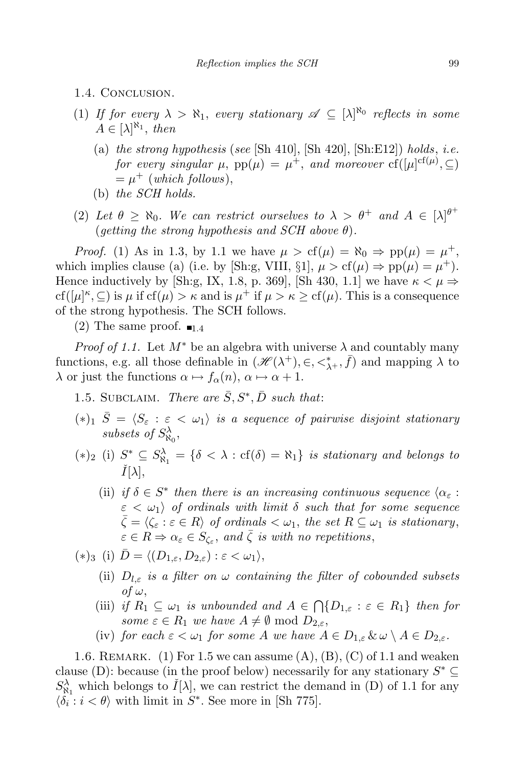1.4. Conclusion.

- (1) If for every  $\lambda > \aleph_1$ , every stationary  $\mathscr{A} \subseteq [\lambda]^{\aleph_0}$  reflects in some  $A \in [\lambda]^{\aleph_1}$ , then
	- (a) the strong hypothesis (see  $[\text{Sh 410}]$ ,  $[\text{Sh 420}]$ ,  $[\text{Sh: E12}]$ ) holds, i.e. for every singular  $\mu$ ,  $pp(\mu) = \mu^+$ , and moreover  $cf([\mu]^{cf(\mu)}, \subseteq)$  $=\mu^+$  (which follows),
	- (b) the SCH holds.
- (2) Let  $\theta \geq \aleph_0$ . We can restrict ourselves to  $\lambda > \theta^+$  and  $A \in [\lambda]^{\theta^+}$ (getting the strong hypothesis and SCH above  $\theta$ ).

*Proof.* (1) As in 1.3, by 1.1 we have  $\mu > cf(\mu) = \aleph_0 \Rightarrow pp(\mu) = \mu^+$ , which implies clause (a) (i.e. by [Sh:g, VIII, §1],  $\mu > cf(\mu) \Rightarrow pp(\mu) = \mu^+$ ). Hence inductively by [Sh:g, IX, 1.8, p. 369], [Sh 430, 1.1] we have  $\kappa < \mu \Rightarrow$ cf( $[\mu]^\kappa$ ,  $\subseteq$ ) is  $\mu$  if cf( $\mu$ ) >  $\kappa$  and is  $\mu^+$  if  $\mu > \kappa \geq cf(\mu)$ . This is a consequence of the strong hypothesis. The SCH follows.

(2) The same proof.  $\blacksquare$ 

*Proof of 1.1.* Let  $M^*$  be an algebra with universe  $\lambda$  and countably many functions, e.g. all those definable in  $(\mathscr{H}(\lambda^{+}), \in, <^*_{\lambda^{+}}, \bar{f})$  and mapping  $\lambda$  to  $\lambda$  or just the functions  $\alpha \mapsto f_{\alpha}(n), \alpha \mapsto \alpha + 1$ .

- 1.5. SUBCLAIM. There are  $\bar{S}, S^*, \bar{D}$  such that:
- (\*)<sub>1</sub>  $\bar{S} = \langle S_{\varepsilon} : \varepsilon < \omega_1 \rangle$  is a sequence of pairwise disjoint stationary subsets of  $S^{\lambda}_{\aleph_0}$ ,
- (\*)<sub>2</sub> (i)  $S^* \subseteq S^{\lambda}_{\aleph_1} = \{ \delta < \lambda : \text{cf}(\delta) = \aleph_1 \}$  is stationary and belongs to  $I[\lambda]$ ,
	- (ii) if  $\delta \in S^*$  then there is an increasing continuous sequence  $\langle \alpha_{\varepsilon} :$  $\varepsilon < \omega_1$ ) of ordinals with limit  $\delta$  such that for some sequence  $\bar{\zeta} = \langle \zeta_{\varepsilon} : \varepsilon \in R \rangle$  of ordinals  $\langle \omega_1, \text{ the set } R \subseteq \omega_1 \text{ is stationary},$  $\varepsilon \in R \Rightarrow \alpha_{\varepsilon} \in S_{\zeta_{\varepsilon}}, \text{ and } \overline{\zeta} \text{ is with no repetitions},$
- (\*)<sub>3</sub> (i)  $\bar{D} = \langle (D_{1,\varepsilon}, D_{2,\varepsilon}) : \varepsilon < \omega_1 \rangle$ ,
	- (ii)  $D_{l,\varepsilon}$  is a filter on  $\omega$  containing the filter of cobounded subsets  $of \omega$ ,
	- (iii) if  $R_1 \subseteq \omega_1$  is unbounded and  $A \in \bigcap \{D_{1,\varepsilon} : \varepsilon \in R_1\}$  then for some  $\varepsilon \in R_1$  we have  $A \neq \emptyset \text{ mod } D_{2,\varepsilon}$ ,
	- (iv) for each  $\varepsilon < \omega_1$  for some A we have  $A \in D_{1,\varepsilon} \& \omega \setminus A \in D_{2,\varepsilon}$ .

1.6. REMARK. (1) For 1.5 we can assume  $(A)$ ,  $(B)$ ,  $(C)$  of 1.1 and weaken clause (D): because (in the proof below) necessarily for any stationary  $S^* \subseteq$  $S_{\aleph_1}^{\lambda}$  which belongs to  $\check{I}[\lambda]$ , we can restrict the demand in (D) of 1.1 for any  $\langle \delta_i : i < \theta \rangle$  with limit in  $S^*$ . See more in [Sh 775].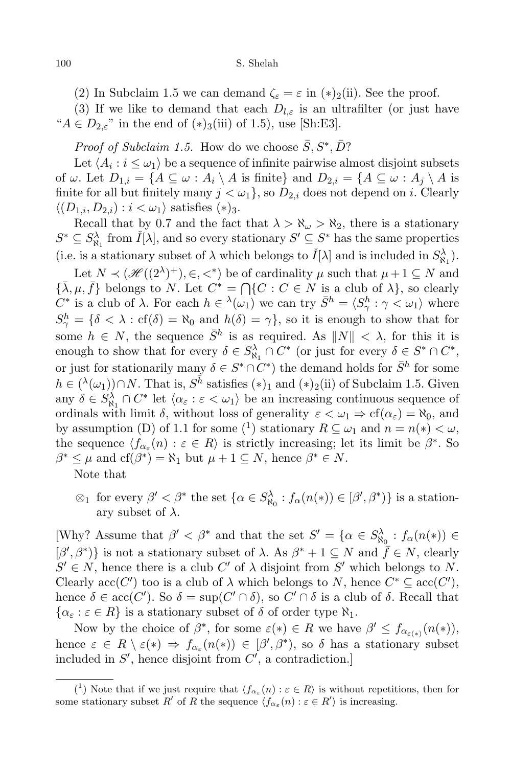(2) In Subclaim 1.5 we can demand  $\zeta_{\varepsilon} = \varepsilon$  in  $(*)_2$ (ii). See the proof.

(3) If we like to demand that each  $D_{l,\varepsilon}$  is an ultrafilter (or just have " $A \in D_{2,\varepsilon}$ " in the end of  $(*)_3$ (iii) of 1.5), use [Sh:E3].

*Proof of Subclaim 1.5.* How do we choose  $\bar{S}$ ,  $S^*$ ,  $\bar{D}$ ?

Let  $\langle A_i : i \leq \omega_1 \rangle$  be a sequence of infinite pairwise almost disjoint subsets of  $\omega$ . Let  $D_{1,i} = \{A \subseteq \omega : A_i \setminus A \text{ is finite}\}\$ and  $D_{2,i} = \{A \subseteq \omega : A_i \setminus A \text{ is finite}\}\$ finite for all but finitely many  $j < \omega_1$ , so  $D_{2,i}$  does not depend on i. Clearly  $\langle (D_{1,i}, D_{2,i}) : i < \omega_1 \rangle$  satisfies  $(*)_3$ .

Recall that by 0.7 and the fact that  $\lambda > \aleph_{\omega} > \aleph_2$ , there is a stationary  $S^* \subseteq S^{\lambda}_{\aleph_1}$  from  $\check{I}[\lambda]$ , and so every stationary  $S' \subseteq S^*$  has the same properties (i.e. is a stationary subset of  $\lambda$  which belongs to  $\check{I}[\lambda]$  and is included in  $S^{\lambda}_{\aleph_1}$ ).

Let  $N \prec (\mathcal{H}((2^{\lambda})^+), \in, \leq^*)$  be of cardinality  $\mu$  such that  $\mu + 1 \subseteq N$  and  $\{\bar{\lambda}, \mu, \bar{f}\}$  belongs to N. Let  $C^* = \bigcap \{C : C \in N \text{ is a club of } \lambda\},\$  so clearly  $C^*$  is a club of  $\lambda$ . For each  $h \in \lambda(\omega_1)$  we can try  $\bar{S}^h = \langle S^h_{\gamma} : \gamma < \omega_1 \rangle$  where  $S^h_\gamma = \{\delta < \lambda : \text{cf}(\delta) = \aleph_0 \text{ and } h(\delta) = \gamma\},\text{ so it is enough to show that for }$ some  $h \in N$ , the sequence  $\bar{S}^h$  is as required. As  $||N|| < \lambda$ , for this it is enough to show that for every  $\delta \in S^{\lambda}_{\aleph_1} \cap C^*$  (or just for every  $\delta \in S^* \cap C^*$ , or just for stationarily many  $\delta \in S^* \cap C^*$  the demand holds for  $\bar{S}^h$  for some  $h \in (\lambda(\omega_1)) \cap N$ . That is,  $S^{\bar{h}}$  satisfies  $(*)_1$  and  $(*)_2$ (ii) of Subclaim 1.5. Given any  $\delta \in S^{\lambda}_{\aleph_1} \cap C^*$  let  $\langle \alpha_{\varepsilon} : \varepsilon < \omega_1 \rangle$  be an increasing continuous sequence of ordinals with limit  $\delta$ , without loss of generality  $\varepsilon < \omega_1 \Rightarrow cf(\alpha_{\varepsilon}) = \aleph_0$ , and by assumption (D) of 1.1 for some (<sup>1</sup>) stationary  $R \subseteq \omega_1$  and  $n = n(*) < \omega$ , the sequence  $\langle f_{\alpha_{\varepsilon}}(n) : \varepsilon \in R \rangle$  is strictly increasing; let its limit be  $\beta^*$ . So  $\beta^* \leq \mu$  and  $cf(\beta^*) = \aleph_1$  but  $\mu + 1 \subseteq N$ , hence  $\beta^* \in N$ .

Note that

 $\otimes_1$  for every  $\beta' < \beta^*$  the set  $\{\alpha \in S^{\lambda}_{\aleph_0} : f_{\alpha}(n(*)) \in [\beta', \beta^*)\}$  is a stationary subset of  $\lambda$ .

[Why? Assume that  $\beta' < \beta^*$  and that the set  $S' = {\alpha \in S_{\aleph_0}^{\lambda} : f_{\alpha}(n(*) ) \in$  $[\beta', \beta^*)\}$  is not a stationary subset of  $\lambda$ . As  $\beta^* + 1 \subseteq N$  and  $\overline{f} \in N$ , clearly  $S' \in N$ , hence there is a club C' of  $\lambda$  disjoint from S' which belongs to N. Clearly  $\mathrm{acc}(C')$  too is a club of  $\lambda$  which belongs to N, hence  $C^* \subseteq \mathrm{acc}(C')$ , hence  $\delta \in \text{acc}(C')$ . So  $\delta = \text{sup}(C' \cap \delta)$ , so  $C' \cap \delta$  is a club of  $\delta$ . Recall that  $\{\alpha_{\varepsilon} : \varepsilon \in R\}$  is a stationary subset of  $\delta$  of order type  $\aleph_1$ .

Now by the choice of  $\beta^*$ , for some  $\varepsilon(*) \in R$  we have  $\beta' \leq f_{\alpha_{\varepsilon(*)}}(n(*)),$ hence  $\varepsilon \in R \setminus \varepsilon(*) \Rightarrow f_{\alpha_{\varepsilon}}(n(*) ) \in [\beta', \beta^*)$ , so  $\delta$  has a stationary subset included in  $S'$ , hence disjoint from  $C'$ , a contradiction.

<sup>(&</sup>lt;sup>1</sup>) Note that if we just require that  $\langle f_{\alpha_{\varepsilon}}(n) : \varepsilon \in R \rangle$  is without repetitions, then for some stationary subset R' of R the sequence  $\langle f_{\alpha_{\varepsilon}}(n) : \varepsilon \in R' \rangle$  is increasing.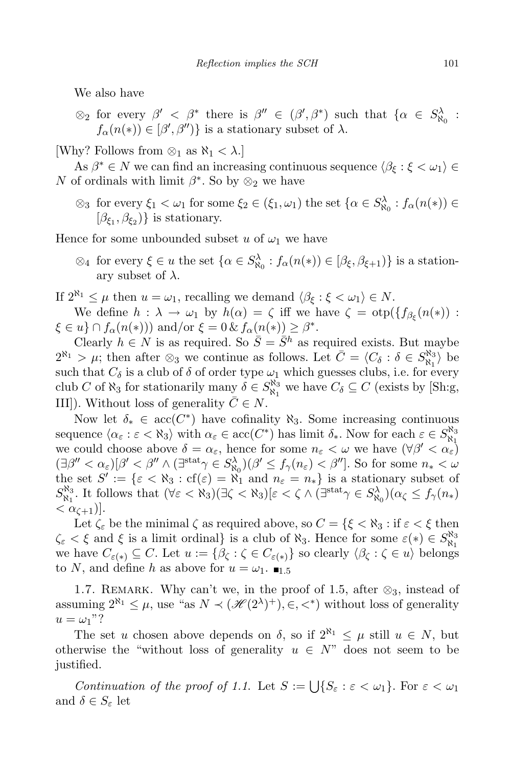We also have

 $\otimes_2$  for every  $\beta' < \beta^*$  there is  $\beta'' \in (\beta', \beta^*)$  such that  $\{\alpha \in S^{\lambda}_{\aleph_0} :$  $f_{\alpha}(n(*)) \in [\beta', \beta'')\}$  is a stationary subset of  $\lambda$ .

[Why? Follows from  $\otimes_1$  as  $\aleph_1 < \lambda$ .]

As  $\beta^* \in N$  we can find an increasing continuous sequence  $\langle \beta_{\xi} : \xi < \omega_1 \rangle \in$ N of ordinals with limit  $\beta^*$ . So by  $\otimes_2$  we have

 $\otimes_3$  for every  $\xi_1 < \omega_1$  for some  $\xi_2 \in (\xi_1, \omega_1)$  the set  $\{\alpha \in S^{\lambda}_{\aleph_0} : f_{\alpha}(n(*) ) \in$  $[\beta_{\xi_1}, \beta_{\xi_2})\}$  is stationary.

Hence for some unbounded subset u of  $\omega_1$  we have

 $\otimes_4$  for every  $\xi \in u$  the set  $\{\alpha \in S^{\lambda}_{\aleph_0} : f_{\alpha}(n(*) ) \in [\beta_{\xi}, \beta_{\xi+1})\}$  is a stationary subset of  $\lambda$ .

If  $2^{\aleph_1} \leq \mu$  then  $u = \omega_1$ , recalling we demand  $\langle \beta_{\xi} : \xi < \omega_1 \rangle \in N$ .

We define  $h : \lambda \to \omega_1$  by  $h(\alpha) = \zeta$  iff we have  $\zeta = \text{otp}(\lbrace f_{\beta_{\xi}}(n(*)))$ :  $\xi \in u$   $\cap$   $f_{\alpha}(n(*)$ ) and/or  $\xi = 0$  &  $f_{\alpha}(n(*)) \geq \beta^*$ .

Clearly  $h \in N$  is as required. So  $\overline{S} = \overline{S}^h$  as required exists. But maybe  $2^{\aleph_1} > \mu$ ; then after  $\otimes_3$  we continue as follows. Let  $\bar{C} = \langle C_\delta : \delta \in S^{\aleph_3}_{\aleph_1} \rangle$  $\langle \begin{array}{c} \kappa_3 \\ \kappa_1 \end{array} \rangle$  be such that  $C_{\delta}$  is a club of  $\delta$  of order type  $\omega_1$  which guesses clubs, i.e. for every club C of  $\aleph_3$  for stationarily many  $\delta \in S^{\aleph_3}_{\aleph_1}$  $\mathcal{C}_{\delta}^{\mathfrak{m}_{3}}$  we have  $C_{\delta} \subseteq C$  (exists by [Sh:g, III]). Without loss of generality  $\overline{C} \in N$ .

Now let  $\delta_* \in acc(C^*)$  have cofinality  $\aleph_3$ . Some increasing continuous sequence  $\langle \alpha_{\varepsilon} : \varepsilon < \aleph_3 \rangle$  with  $\alpha_{\varepsilon} \in \text{acc}(C^*)$  has limit  $\delta_*$ . Now for each  $\varepsilon \in S^{\aleph_3}_{\aleph_1}$  $\aleph_1$ we could choose above  $\delta = \alpha_{\varepsilon}$ , hence for some  $n_{\varepsilon} < \omega$  we have  $(\forall \beta' < \alpha_{\varepsilon})$  $(\exists \beta'' < \alpha_{\varepsilon})[\beta' < \beta'' \land (\exists^{\text{stat}} \gamma \in S^{\lambda}_{N_0})(\beta' \le f_{\gamma}(n_{\varepsilon}) < \beta'']$ . So for some  $n_* < \omega$ the set  $S' := \{ \varepsilon < \aleph_3 : cf(\varepsilon) = \aleph_1 \text{ and } n_{\varepsilon} = n_* \}$  is a stationary subset of  $S^{\aleph_3}_{\aleph_1}$  $\mathcal{R}_1^{\aleph_3}$ . It follows that  $(\forall \varepsilon < \aleph_3)(\exists \zeta < \aleph_3)[\varepsilon < \zeta \wedge (\exists^{\text{stat}} \gamma \in S_{\aleph_0}^{\lambda})(\alpha_{\zeta} \leq f_{\gamma}(n_*)]$  $<\alpha_{\zeta+1})$ .

Let  $\zeta_{\varepsilon}$  be the minimal  $\zeta$  as required above, so  $C = {\xi < \aleph_3 : \text{if } \varepsilon < \xi \text{ then }}$  $\zeta_{\varepsilon} < \xi$  and  $\xi$  is a limit ordinal) is a club of  $\aleph_3$ . Hence for some  $\varepsilon(*) \in S^{\aleph_3}_{\aleph_1}$  $\aleph_1$ we have  $C_{\varepsilon(*)} \subseteq C$ . Let  $u := \{\beta_{\zeta} : \zeta \in C_{\varepsilon(*)}\}\$  so clearly  $\langle \beta_{\zeta} : \zeta \in u \rangle$  belongs to N, and define h as above for  $u = \omega_1$ .

1.7. REMARK. Why can't we, in the proof of 1.5, after  $\otimes_3$ , instead of assuming  $2^{\aleph_1} \leq \mu$ , use "as  $N \prec (\mathcal{H}(2^{\lambda})^+), \in, \lt^*$ ) without loss of generality  $u = \omega_1$ "?

The set u chosen above depends on  $\delta$ , so if  $2^{\aleph_1} \leq \mu$  still  $u \in N$ , but otherwise the "without loss of generality  $u \in N$ " does not seem to be justified.

Continuation of the proof of 1.1. Let  $S := \bigcup \{ S_{\varepsilon} : \varepsilon < \omega_1 \}$ . For  $\varepsilon < \omega_1$ and  $\delta \in S_{\varepsilon}$  let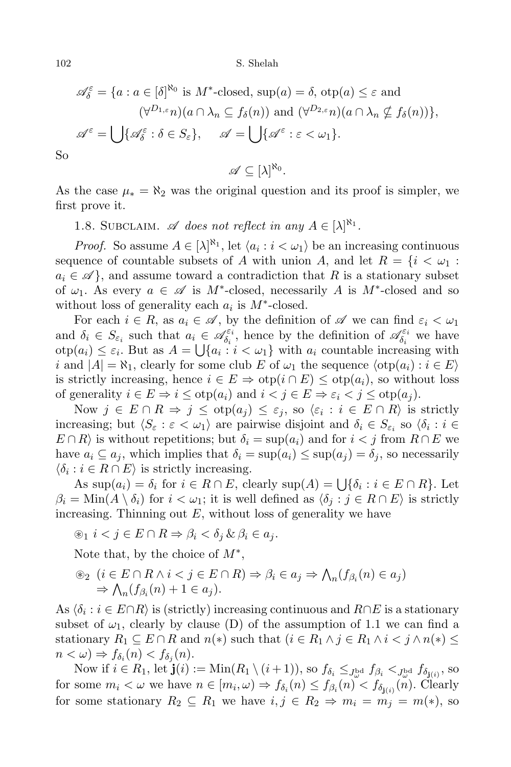102 S. Shelah

$$
\mathscr{A}_{\delta}^{\varepsilon} = \{a : a \in [\delta]^{\aleph_0} \text{ is } M^*\text{-closed, sup}(a) = \delta, \text{otp}(a) \le \varepsilon \text{ and } \left(\forall^{D_{1,\varepsilon}} n\right) (a \cap \lambda_n \subseteq f_\delta(n)) \text{ and } \left(\forall^{D_{2,\varepsilon}} n\right) (a \cap \lambda_n \nsubseteq f_\delta(n))\},\
$$

$$
\mathscr{A}^{\varepsilon} = \bigcup \{\mathscr{A}_{\delta}^{\varepsilon} : \delta \in S_{\varepsilon}\}, \quad \mathscr{A} = \bigcup \{\mathscr{A}^{\varepsilon} : \varepsilon < \omega_1\}.
$$

So

$$
\mathscr{A}\subseteq[\lambda]^{\aleph_0}.
$$

As the case  $\mu_* = \aleph_2$  was the original question and its proof is simpler, we first prove it.

1.8. SUBCLAIM.  $\mathscr A$  does not reflect in any  $A \in [\lambda]^{\aleph_1}$ .

*Proof.* So assume  $A \in [\lambda]^{\aleph_1}$ , let  $\langle a_i : i < \omega_1 \rangle$  be an increasing continuous sequence of countable subsets of A with union A, and let  $R = \{i \leq \omega_1 :$  $a_i \in \mathcal{A}$ , and assume toward a contradiction that R is a stationary subset of  $\omega_1$ . As every  $a \in \mathscr{A}$  is  $M^*$ -closed, necessarily A is  $M^*$ -closed and so without loss of generality each  $a_i$  is  $M^*$ -closed.

For each  $i \in R$ , as  $a_i \in \mathcal{A}$ , by the definition of  $\mathcal A$  we can find  $\varepsilon_i < \omega_1$ and  $\delta_i \in S_{\varepsilon_i}$  such that  $a_i \in \mathscr{A}_{\delta_i}^{\varepsilon_i}$  $\mathscr{A}_{\delta_i}^{\varepsilon_i}$ , hence by the definition of  $\mathscr{A}_{\delta_i}^{\varepsilon_i}$  $\delta_i^{\varepsilon_i}$  we have  $\text{otp}(a_i) \leq \varepsilon_i$ . But as  $A = \bigcup \{a_i : i < \omega_1\}$  with  $a_i$  countable increasing with i and  $|A| = \aleph_1$ , clearly for some club E of  $\omega_1$  the sequence  $\langle \text{otp}(a_i) : i \in E \rangle$ is strictly increasing, hence  $i \in E \Rightarrow \text{otp}(i \cap E) \leq \text{otp}(a_i)$ , so without loss of generality  $i \in E \Rightarrow i \leq \text{otp}(a_i)$  and  $i < j \in E \Rightarrow \varepsilon_i < j \leq \text{otp}(a_i)$ .

Now  $j \in E \cap R \Rightarrow j \leq \text{otp}(a_j) \leq \varepsilon_j$ , so  $\langle \varepsilon_i : i \in E \cap R \rangle$  is strictly increasing; but  $\langle S_\varepsilon : \varepsilon < \omega_1 \rangle$  are pairwise disjoint and  $\delta_i \in S_{\varepsilon_i}$  so  $\langle \delta_i : i \in$  $E \cap R$  is without repetitions; but  $\delta_i = \sup(a_i)$  and for  $i < j$  from  $R \cap E$  we have  $a_i \subseteq a_j$ , which implies that  $\delta_i = \sup(a_i) \leq \sup(a_i) = \delta_j$ , so necessarily  $\langle \delta_i : i \in R \cap E \rangle$  is strictly increasing.

As  $\sup(a_i) = \delta_i$  for  $i \in R \cap E$ , clearly  $\sup(A) = \bigcup \{\delta_i : i \in E \cap R\}$ . Let  $\beta_i = \text{Min}(A \setminus \delta_i)$  for  $i < \omega_1$ ; it is well defined as  $\langle \delta_i : j \in R \cap E \rangle$  is strictly increasing. Thinning out  $E$ , without loss of generality we have

$$
\circledast_1 i < j \in E \cap R \Rightarrow \beta_i < \delta_j \& \beta_i \in a_j.
$$

Note that, by the choice of  $M^*$ ,

$$
\mathcal{L}_2 \ (i \in E \cap R \land i < j \in E \cap R) \Rightarrow \beta_i \in a_j \Rightarrow \bigwedge_n (f_{\beta_i}(n) \in a_j) \Rightarrow \bigwedge_n (f_{\beta_i}(n) + 1 \in a_j).
$$

As  $\langle \delta_i : i \in E \cap R \rangle$  is (strictly) increasing continuous and  $R \cap E$  is a stationary subset of  $\omega_1$ , clearly by clause (D) of the assumption of 1.1 we can find a stationary  $R_1 \subseteq E \cap R$  and  $n(*)$  such that  $(i \in R_1 \land j \in R_1 \land i < j \land n(*) \leq$  $n < \omega$ )  $\Rightarrow$   $f_{\delta_i}(n) < f_{\delta_j}(n)$ .

Now if  $i \in R_1$ , let  $\mathbf{j}(i) := \text{Min}(R_1 \setminus (i+1)),$  so  $f_{\delta_i} \leq_{J_{\omega}^{\text{bd}}} f_{\beta_i} <_{J_{\omega}^{\text{bd}}} f_{\delta_{\mathbf{j}(i)}},$  so for some  $m_i < \omega$  we have  $n \in [m_i, \omega) \Rightarrow f_{\delta_i}(n) \leq f_{\beta_i}(n) < f_{\delta_{j(i)}}(n)$ . Clearly for some stationary  $R_2 \subseteq R_1$  we have  $i, j \in R_2 \Rightarrow m_i = m_j = m(*)$ , so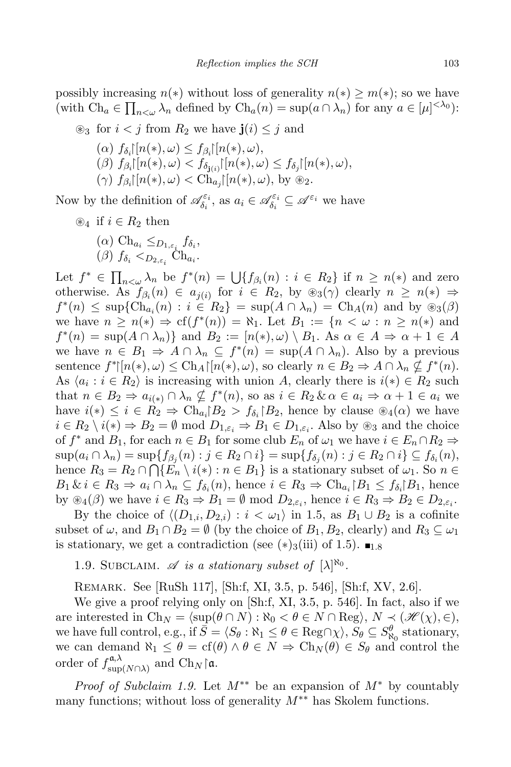possibly increasing  $n(*)$  without loss of generality  $n(*) \geq m(*)$ ; so we have (with  $\text{Ch}_a \in \prod_{n<\omega} \lambda_n$  defined by  $\text{Ch}_a(n) = \sup(a \cap \lambda_n)$  for any  $a \in [\mu]^{<\lambda_0}$ ):

<sup>®3</sup> for  $i < j$  from  $R_2$  we have  $j(i) ≤ j$  and

$$
(\alpha) f_{\delta_i}[[n(*),\omega) \leq f_{\beta_i}[[n(*),\omega),\n(\beta) f_{\beta_i}[[n(*),\omega) < f_{\delta_{j(i)}}[[n(*),\omega) \leq f_{\delta_j}[[n(*),\omega),\n(\gamma) f_{\beta_i}[[n(*),\omega) < \text{Ch}_{a_j}[[n(*),\omega), \text{ by } \mathcal{D}_2.
$$

Now by the definition of  $\mathscr{A}_{\delta_i}^{\varepsilon_i}$  $\delta_i^{\varepsilon_i}$ , as  $a_i \in \mathscr{A}_{\delta_i}^{\varepsilon_i}$  $\delta_i^{\varepsilon_i} \subseteq \mathscr{A}^{\varepsilon_i}$  we have

<sup>®</sup>4 if  $i \in R_2$  then

$$
\begin{array}{c}\n(\alpha) \text{ Ch}_{a_i} \leq_{D_{1,\varepsilon_i}} f_{\delta_i}, \\
(\beta) \ f_{\delta_i} <_{D_{2,\varepsilon_i}} \text{Ch}_{a_i}.\n\end{array}
$$

Let  $f^* \in \prod_{n<\omega} \lambda_n$  be  $f^*(n) = \bigcup \{f_{\beta_i}(n) : i \in R_2\}$  if  $n \geq n(*)$  and zero otherwise. As  $f_{\beta_i}(n) \in a_{j(i)}$  for  $i \in R_2$ , by  $\mathcal{L}_3(\gamma)$  clearly  $n \geq n(*) \Rightarrow$  $f^*(n) \leq \sup\{\text{Ch}_{a_i}(n) : i \in R_2\} = \sup(A \cap \lambda_n) = \text{Ch}_A(n)$  and by  $\otimes_3(\beta)$ we have  $n \geq n(*) \Rightarrow cf(f^*(n)) = \aleph_1$ . Let  $B_1 := \{n < \omega : n \geq n(*) \text{ and } \alpha\}$  $f^*(n) = \sup(A \cap \lambda_n)$  and  $B_2 := [n(*), \omega) \setminus B_1$ . As  $\alpha \in A \Rightarrow \alpha + 1 \in A$ we have  $n \in B_1 \Rightarrow A \cap \lambda_n \subseteq f^*(n) = \sup(A \cap \lambda_n)$ . Also by a previous sentence  $f^*|[n(*),\omega) \leq \text{Ch}_A|[n(*),\omega)$ , so clearly  $n \in B_2 \Rightarrow A \cap \lambda_n \nsubseteq f^*(n)$ . As  $\langle a_i : i \in R_2 \rangle$  is increasing with union A, clearly there is  $i(*) \in R_2$  such that  $n \in B_2 \Rightarrow a_{i(*)} \cap \lambda_n \nsubseteq f^*(n)$ , so as  $i \in R_2 \& \alpha \in a_i \Rightarrow \alpha + 1 \in a_i$  we have  $i(*) \leq i \in R_2 \Rightarrow \text{Ch}_{a_i} \mid B_2 > f_{\delta_i} \mid B_2$ , hence by clause  $\mathcal{B}_4(\alpha)$  we have  $i \in R_2 \setminus i(*) \Rightarrow B_2 = \emptyset \text{ mod } D_{1,\varepsilon_i} \Rightarrow B_1 \in D_{1,\varepsilon_i}$ . Also by  $\circledast_3$  and the choice of  $f^*$  and  $B_1$ , for each  $n \in B_1$  for some club  $E_n$  of  $\omega_1$  we have  $i \in E_n \cap R_2 \Rightarrow$  $\sup(a_i \cap \lambda_n) = \sup\{f_{\beta_j}(n) : j \in R_2 \cap i\} = \sup\{f_{\delta_j}(n) : j \in R_2 \cap i\} \subseteq f_{\delta_i}(n),$ hence  $R_3 = R_2 \cap \bigcap \{E_n \setminus i(*) : n \in B_1\}$  is a stationary subset of  $\omega_1$ . So  $n \in$  $B_1 \& i \in R_3 \Rightarrow a_i \cap \lambda_n \subseteq f_{\delta_i}(n)$ , hence  $i \in R_3 \Rightarrow \text{Ch}_{a_i} \setminus B_1 \leq f_{\delta_i} \setminus B_1$ , hence by  $\mathfrak{B}_4(\beta)$  we have  $i \in R_3 \Rightarrow B_1 = \emptyset \text{ mod } D_{2,\varepsilon_i}$ , hence  $i \in R_3 \Rightarrow B_2 \in D_{2,\varepsilon_i}$ .

By the choice of  $\langle (D_{1,i}, D_{2,i}) : i < \omega_1 \rangle$  in 1.5, as  $B_1 \cup B_2$  is a cofinite subset of  $\omega$ , and  $B_1 \cap B_2 = \emptyset$  (by the choice of  $B_1, B_2$ , clearly) and  $R_3 \subseteq \omega_1$ is stationary, we get a contradiction (see  $(*)_3$ (iii) of 1.5).  $\blacksquare$ 

1.9. SUBCLAIM.  $\mathscr A$  is a stationary subset of  $[\lambda]^{\aleph_0}$ .

Remark. See [RuSh 117], [Sh:f, XI, 3.5, p. 546], [Sh:f, XV, 2.6].

We give a proof relying only on [Sh:f, XI, 3.5, p. 546]. In fact, also if we are interested in  $Ch_N = \langle \sup(\theta \cap N) : \aleph_0 < \theta \in N \cap \text{Reg} \rangle, N \prec (\mathcal{H}(\chi), \in),$ we have full control, e.g., if  $\bar{S} = \langle S_\theta : \aleph_1 \leq \theta \in \text{Reg} \cap \chi \rangle$ ,  $S_\theta \subseteq S_{\aleph_0}^{\theta}$  stationary, we can demand  $\aleph_1 \leq \theta = \text{cf}(\theta) \land \theta \in N \Rightarrow \text{Ch}_N(\theta) \in S_\theta$  and control the order of  $f_{\text{sun}}^{\mathfrak{a},\lambda}$  $\lim_{\delta \to 0}$  and Ch<sub>N</sub>  $\uparrow$ **a**.

*Proof of Subclaim 1.9.* Let  $M^{**}$  be an expansion of  $M^*$  by countably many functions; without loss of generality  $M^{**}$  has Skolem functions.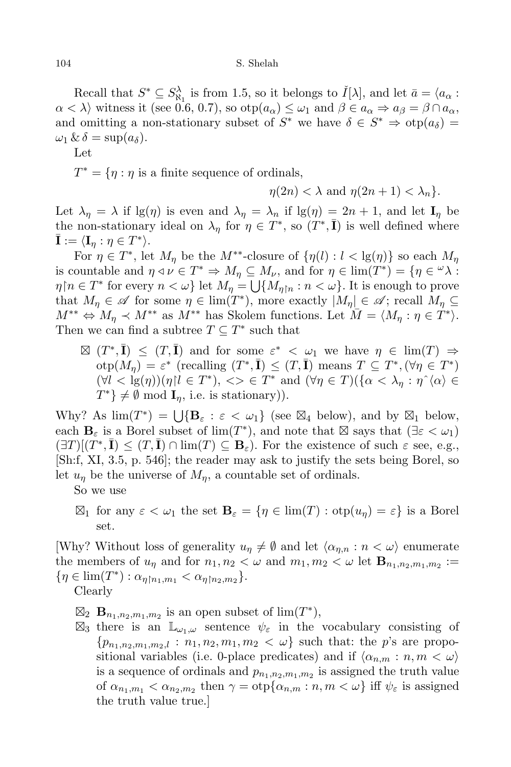## 104 S. Shelah

Recall that  $S^* \subseteq S^{\lambda}_{\aleph_1}$  is from 1.5, so it belongs to  $\check{I}[\lambda]$ , and let  $\bar{a} = \langle a_{\alpha} :$  $\alpha < \lambda$  witness it (see 0.6, 0.7), so  $otp(a_{\alpha}) \leq \omega_1$  and  $\beta \in a_{\alpha} \Rightarrow a_{\beta} = \beta \cap a_{\alpha}$ , and omitting a non-stationary subset of  $S^*$  we have  $\delta \in S^* \Rightarrow \text{otp}(a_{\delta}) =$  $\omega_1 \& \delta = \sup(a_\delta).$ 

Let

 $T^* = \{ \eta : \eta \text{ is a finite sequence of ordinals, } \}$ 

 $\eta(2n) < \lambda$  and  $\eta(2n+1) < \lambda_n$ .

Let  $\lambda_{\eta} = \lambda$  if  $\lg(\eta)$  is even and  $\lambda_{\eta} = \lambda_{n}$  if  $\lg(\eta) = 2n + 1$ , and let  $I_{\eta}$  be the non-stationary ideal on  $\lambda_{\eta}$  for  $\eta \in T^*$ , so  $(T^*, \bar{\mathbf{I}})$  is well defined where  $\bar{\mathbf{I}} := \langle \mathbf{I}_\eta : \eta \in T^* \rangle.$ 

For  $\eta \in T^*$ , let  $M_{\eta}$  be the  $M^{**}$ -closure of  $\{\eta(l) : l < \lg(\eta)\}\$  so each  $M_{\eta}$ is countable and  $\eta \triangleleft \nu \in T^* \Rightarrow M_\eta \subseteq M_\nu$ , and for  $\eta \in \text{lim}(T^*) = \{ \eta \in \mathcal{A} :$  $\eta \upharpoonright n \in T^*$  for every  $n < \omega$ } let  $M_\eta = \bigcup \{M_{\eta \upharpoonright n} : n < \omega\}$ . It is enough to prove that  $M_{\eta} \in \mathscr{A}$  for some  $\eta \in \text{lim}(T^*)$ , more exactly  $|M_{\eta}| \in \mathscr{A}$ ; recall  $M_{\eta} \subseteq$  $M^{**} \Leftrightarrow M_{\eta} \prec M^{**}$  as  $M^{**}$  has Skolem functions. Let  $\overline{M} = \langle M_{\eta} : \eta \in T^* \rangle$ . Then we can find a subtree  $T \subseteq T^*$  such that

 $\boxtimes$   $(T^*, \overline{I}) \leq (T, \overline{I})$  and for some  $\varepsilon^* < \omega_1$  we have  $\eta \in \text{lim}(T) \Rightarrow$  $\text{otp}(M_{\eta}) = \varepsilon^* \text{ (recalling } (T^*, \bar{\mathbf{I}}) \leq (T, \bar{\mathbf{I}}) \text{ means } T \subseteq T^*, (\forall \eta \in T^*)$  $(\forall l < \lg(\eta))(\eta \mid l \in T^*)$ ,  $\langle \rangle \in T^*$  and  $(\forall \eta \in T)(\{\alpha < \lambda_{\eta} : \eta^{\wedge} \langle \alpha \rangle \in T^* \}$  $T^*\}\neq \emptyset \mod \mathbf{I}_{\eta}$ , i.e. is stationary).

Why? As  $\lim(T^*) = \bigcup \{ \mathbf{B}_{\varepsilon} : \varepsilon < \omega_1 \}$  (see  $\boxtimes_4$  below), and by  $\boxtimes_1$  below, each  $\mathbf{B}_{\varepsilon}$  is a Borel subset of  $\lim(T^*)$ , and note that  $\boxtimes$  says that  $(\exists \varepsilon < \omega_1)$  $(\exists T)[(T^*,\bar{\mathbf{I}}) \leq (T,\bar{\mathbf{I}}) \cap \lim(T) \subseteq \mathbf{B}_{\varepsilon}).$  For the existence of such  $\varepsilon$  see, e.g., [Sh:f, XI, 3.5, p. 546]; the reader may ask to justify the sets being Borel, so let  $u_n$  be the universe of  $M_n$ , a countable set of ordinals.

So we use

 $\boxtimes_1$  for any  $\varepsilon < \omega_1$  the set  $\mathbf{B}_{\varepsilon} = \{ \eta \in \lim(T) : \text{otp}(u_{\eta}) = \varepsilon \}$  is a Borel set.

[Why? Without loss of generality  $u_{\eta} \neq \emptyset$  and let  $\langle \alpha_{\eta,n} : n < \omega \rangle$  enumerate the members of  $u_{\eta}$  and for  $n_1, n_2 < \omega$  and  $m_1, m_2 < \omega$  let  $\mathbf{B}_{n_1, n_2, m_1, m_2} :=$  $\{\eta \in \lim(T^*) : \alpha_{\eta \upharpoonright n_1, m_1} < \alpha_{\eta \upharpoonright n_2, m_2}\}.$ 

Clearly

- $\boxtimes_2$  **B**<sub>n<sub>1</sub>,n<sub>2</sub>,m<sub>1</sub>,m<sub>2</sub> is an open subset of  $\lim(T^*)$ ,</sub>
- $\boxtimes_3$  there is an  $\mathbb{L}_{\omega_1,\omega}$  sentence  $\psi_{\varepsilon}$  in the vocabulary consisting of  ${p_{n_1,n_2,m_1,m_2,l} : n_1,n_2,m_1,m_2 < \omega}$  such that: the *p*'s are propositional variables (i.e. 0-place predicates) and if  $\langle \alpha_{n,m} : n, m \langle \omega \rangle$ is a sequence of ordinals and  $p_{n_1,n_2,m_1,m_2}$  is assigned the truth value of  $\alpha_{n_1,m_1} < \alpha_{n_2,m_2}$  then  $\gamma = \text{otp}\{\alpha_{n,m} : n, m < \omega\}$  iff  $\psi_{\varepsilon}$  is assigned the truth value true.]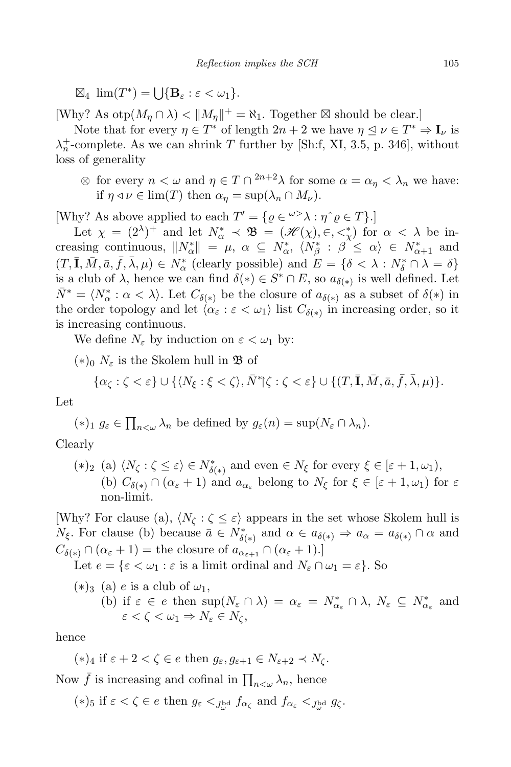$\boxtimes_4 \lim(T^*) = \bigcup \{ \mathbf{B}_{\varepsilon} : \varepsilon < \omega_1 \}.$ 

[Why? As  $otp(M_\eta \cap \lambda) < ||M_\eta||^+ = \aleph_1$ . Together  $\boxtimes$  should be clear.]

Note that for every  $\eta \in T^*$  of length  $2n + 2$  we have  $\eta \leq \nu \in T^* \Rightarrow I_{\nu}$  is  $\lambda_n^+$ -complete. As we can shrink T further by [Sh:f, XI, 3.5, p. 346], without loss of generality

 $\otimes$  for every  $n < \omega$  and  $\eta \in T \cap \{2n+2\lambda\}$  for some  $\alpha = \alpha_{\eta} < \lambda_n$  we have: if  $\eta \triangleleft \nu \in \lim(T)$  then  $\alpha_{\eta} = \sup(\lambda_n \cap M_{\nu}).$ 

[Why? As above applied to each  $T' = \{ \varrho \in \mathbb{R}^{\omega} \rangle \mid \eta \hat{\rho} \in T \}.$ ]

Let  $\chi = (2^{\lambda})^+$  and let  $N^*_{\alpha} \prec \mathfrak{B} = (\mathscr{H}(\chi), \in, \leq^*_{\chi})$  for  $\alpha < \lambda$  be increasing continuous,  $||N^*_{\alpha}|| = \mu$ ,  $\alpha \subseteq N^*_{\alpha}$ ,  $\langle N^*_{\beta} : \beta \leq \alpha \rangle \in N^*_{\alpha+1}$  and  $(T, \overline{\mathbf{I}}, \overline{M}, \overline{a}, \overline{f}, \overline{\lambda}, \mu) \in N^*_{\alpha}$  (clearly possible) and  $E = \{ \delta \langle \lambda : N^*_{\delta} \cap \lambda = \delta \}$ is a club of  $\lambda$ , hence we can find  $\delta(*) \in S^* \cap E$ , so  $a_{\delta(*)}$  is well defined. Let  $\bar{N}^* = \langle N^*_{\alpha} : \alpha < \lambda \rangle$ . Let  $C_{\delta(*)}$  be the closure of  $a_{\delta(*)}$  as a subset of  $\delta(*)$  in the order topology and let  $\langle \alpha_{\varepsilon} : \varepsilon < \omega_1 \rangle$  list  $C_{\delta(*)}$  in increasing order, so it is increasing continuous.

We define  $N_{\varepsilon}$  by induction on  $\varepsilon < \omega_1$  by:

 $(*)_0$   $N_{\varepsilon}$  is the Skolem hull in  $\mathfrak{B}$  of

$$
\{\alpha_{\zeta} : \zeta < \varepsilon\} \cup \{\langle N_{\xi} : \xi < \zeta\rangle, \bar{N}^* \mid \zeta : \zeta < \varepsilon\} \cup \{\langle T, \bar{\mathbf{I}}, \bar{M}, \bar{a}, \bar{f}, \bar{\lambda}, \mu\rangle\}.
$$

Let

 $(*)_1$   $g_{\varepsilon} \in \prod_{n<\omega} \lambda_n$  be defined by  $g_{\varepsilon}(n) = \sup(N_{\varepsilon} \cap \lambda_n)$ .

Clearly

(\*)<sub>2</sub> (a)  $\langle N_\zeta : \zeta \leq \varepsilon \rangle \in N_{\delta(*)}^*$  and even  $\in N_\xi$  for every  $\xi \in [\varepsilon + 1, \omega_1)$ , (b)  $C_{\delta(*)} \cap (\alpha_{\varepsilon} + 1)$  and  $a_{\alpha_{\varepsilon}}$  belong to  $N_{\xi}$  for  $\xi \in [\varepsilon + 1, \omega_1]$  for  $\varepsilon$ non-limit.

[Why? For clause (a),  $\langle N_{\zeta} : \zeta \leq \varepsilon \rangle$  appears in the set whose Skolem hull is  $N_{\xi}$ . For clause (b) because  $\bar{a} \in N^*_{\delta(*)}$  and  $\alpha \in a_{\delta(*)} \Rightarrow a_{\alpha} = a_{\delta(*)} \cap \alpha$  and  $C_{\delta(*)} \cap (\alpha_{\varepsilon} + 1) = \text{the closure of } a_{\alpha_{\varepsilon+1}} \cap (\alpha_{\varepsilon} + 1).$ 

Let  $e = \{ \varepsilon < \omega_1 : \varepsilon$  is a limit ordinal and  $N_{\varepsilon} \cap \omega_1 = \varepsilon \}.$  So

 $(*)_3$  (a) e is a club of  $\omega_1$ , (b) if  $\varepsilon \in e$  then  $\sup(N_{\varepsilon} \cap \lambda) = \alpha_{\varepsilon} = N_{\alpha_{\varepsilon}}^* \cap \lambda$ ,  $N_{\varepsilon} \subseteq N_{\alpha_{\varepsilon}}^*$  and  $\varepsilon < \zeta < \omega_1 \Rightarrow N_{\varepsilon} \in N_{\zeta},$ 

hence

 $(*)_4$  if  $\varepsilon + 2 < \zeta \in e$  then  $g_{\varepsilon}, g_{\varepsilon+1} \in N_{\varepsilon+2} \prec N_{\zeta}$ .

Now  $\bar{f}$  is increasing and cofinal in  $\prod_{n<\omega}\lambda_n$ , hence

(\*)<sub>5</sub> if  $\varepsilon < \zeta \in e$  then  $g_{\varepsilon} <_{J_{\omega}^{\text{bd}}} f_{\alpha_{\zeta}}$  and  $f_{\alpha_{\varepsilon}} <_{J_{\omega}^{\text{bd}}} g_{\zeta}$ .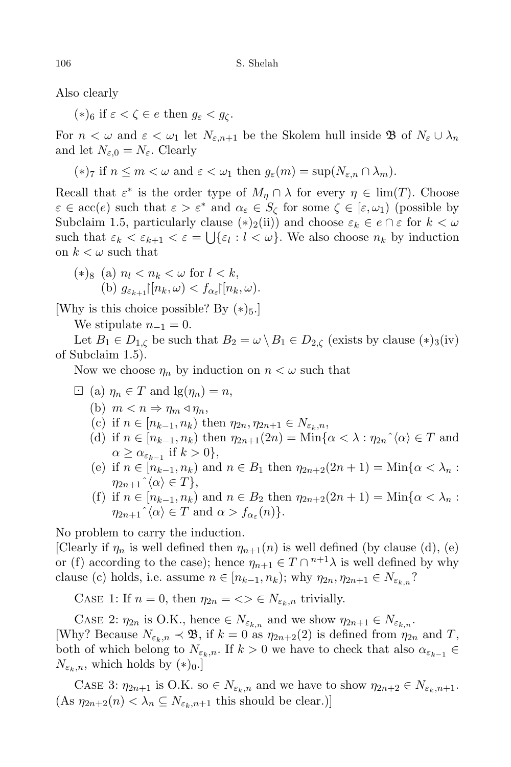Also clearly

 $(*)_6$  if  $\varepsilon < \zeta \in e$  then  $g_{\varepsilon} < g_{\zeta}$ .

For  $n < \omega$  and  $\varepsilon < \omega_1$  let  $N_{\varepsilon,n+1}$  be the Skolem hull inside **B** of  $N_{\varepsilon} \cup \lambda_n$ and let  $N_{\varepsilon,0} = N_{\varepsilon}$ . Clearly

(\*)<sub>7</sub> if  $n \leq m < \omega$  and  $\varepsilon < \omega_1$  then  $g_{\varepsilon}(m) = \sup(N_{\varepsilon,n} \cap \lambda_m)$ .

Recall that  $\varepsilon^*$  is the order type of  $M_\eta \cap \lambda$  for every  $\eta \in \text{lim}(T)$ . Choose  $\varepsilon \in \operatorname{acc}(e)$  such that  $\varepsilon > \varepsilon^*$  and  $\alpha_{\varepsilon} \in S_{\zeta}$  for some  $\zeta \in [\varepsilon, \omega_1)$  (possible by Subclaim 1.5, particularly clause  $(*)_2$ (ii)) and choose  $\varepsilon_k \in e \cap \varepsilon$  for  $k < \omega$ such that  $\varepsilon_k < \varepsilon_{k+1} < \varepsilon = \bigcup \{\varepsilon_l : l < \omega\}$ . We also choose  $n_k$  by induction on  $k < \omega$  such that

$$
(*)_8 \quad (a) \quad n_l < n_k < \omega \quad \text{for} \quad l < k,
$$
\n
$$
(b) \quad g_{\varepsilon_{k+1}} \lceil [n_k, \omega) < f_{\alpha_\varepsilon} \lceil [n_k, \omega).
$$

[Why is this choice possible? By  $(*)_5$ .]

We stipulate  $n_{-1} = 0$ .

Let  $B_1 \in D_{1,\zeta}$  be such that  $B_2 = \omega \setminus B_1 \in D_{2,\zeta}$  (exists by clause  $(*)_3$ (iv) of Subclaim 1.5).

Now we choose  $\eta_n$  by induction on  $n < \omega$  such that

- $\Box$  (a)  $\eta_n \in T$  and  $\lg(\eta_n) = n$ ,
	- (b)  $m < n \Rightarrow \eta_m \triangleleft \eta_n$ ,
	- (c) if  $n \in [n_{k-1}, n_k)$  then  $\eta_{2n}, \eta_{2n+1} \in N_{\varepsilon_k, n}$ ,
	- (d) if  $n \in [n_{k-1}, n_k)$  then  $\eta_{2n+1}(2n) = \text{Min}\{\alpha < \lambda : \eta_{2n} \hat{\ } \langle \alpha \rangle \in T \text{ and }$  $\alpha \geq \alpha_{\varepsilon_{k-1}}$  if  $k > 0$ ,
	- (e) if  $n \in [n_{k-1}, n_k)$  and  $n \in B_1$  then  $\eta_{2n+2}(2n+1) = \text{Min}\{\alpha < \lambda_n :$  $\eta_{2n+1} \hat{\ } \langle \alpha \rangle \in T \},\$
	- (f) if  $n \in [n_{k-1}, n_k)$  and  $n \in B_2$  then  $\eta_{2n+2}(2n+1) = \text{Min}\{\alpha < \lambda_n :$  $\eta_{2n+1} \hat{\ } \langle \alpha \rangle \in T \text{ and } \alpha > f_{\alpha_{\varepsilon}}(n) \}.$

No problem to carry the induction.

[Clearly if  $\eta_n$  is well defined then  $\eta_{n+1}(n)$  is well defined (by clause (d), (e) or (f) according to the case); hence  $\eta_{n+1} \in T \cap^{n+1} \lambda$  is well defined by why clause (c) holds, i.e. assume  $n \in [n_{k-1}, n_k)$ ; why  $\eta_{2n}, \eta_{2n+1} \in N_{\varepsilon_{k,n}}$ ?

CASE 1: If  $n = 0$ , then  $\eta_{2n} = \langle \rangle \in N_{\varepsilon_k,n}$  trivially.

CASE 2:  $\eta_{2n}$  is O.K., hence  $\in N_{\varepsilon_{k,n}}$  and we show  $\eta_{2n+1} \in N_{\varepsilon_{k,n}}$ . [Why? Because  $N_{\varepsilon_k,n} \prec \mathfrak{B}$ , if  $k=0$  as  $\eta_{2n+2}(2)$  is defined from  $\eta_{2n}$  and T, both of which belong to  $N_{\varepsilon_k,n}$ . If  $k>0$  we have to check that also  $\alpha_{\varepsilon_{k-1}}\in$  $N_{\varepsilon_k,n}$ , which holds by  $(*)_{0}.|$ 

CASE 3:  $\eta_{2n+1}$  is O.K. so  $\in N_{\varepsilon_k,n}$  and we have to show  $\eta_{2n+2} \in N_{\varepsilon_k,n+1}$ .  $(As \eta_{2n+2}(n) < \lambda_n \subseteq N_{\varepsilon_k,n+1}$  this should be clear.)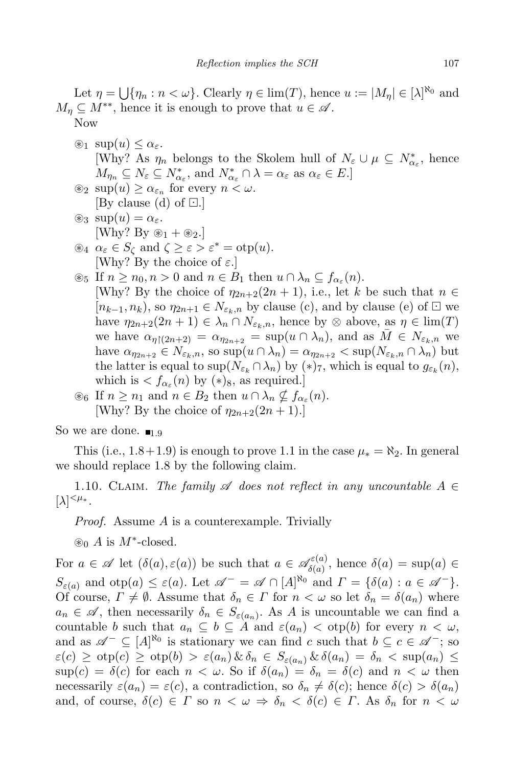Let  $\eta = \bigcup \{\eta_n : n < \omega\}$ . Clearly  $\eta \in \lim(T)$ , hence  $u := |M_{\eta}| \in [\lambda]^{\aleph_0}$  and  $M_{\eta} \subseteq M^{**}$ , hence it is enough to prove that  $u \in \mathscr{A}$ . Now

- $\mathcal{L}_1$  sup $(u) \leq \alpha_{\varepsilon}$ . [Why? As  $\eta_n$  belongs to the Skolem hull of  $N_{\varepsilon} \cup \mu \subseteq N^*_{\alpha_{\varepsilon}}$ , hence  $M_{\eta_n} \subseteq N_{\varepsilon} \subseteq N_{\alpha_{\varepsilon}}^*$ , and  $N_{\alpha_{\varepsilon}}^* \cap \lambda = \alpha_{\varepsilon}$  as  $\alpha_{\varepsilon} \in E$ .  $\mathcal{L}_2$  sup $(u) \geq \alpha_{\varepsilon_n}$  for every  $n < \omega$ . [By clause (d) of ⊡.]  $\circledast_3 \text{ sup}(u) = \alpha_{\varepsilon}.$ [Why? By  $\mathscr{D}_1 + \mathscr{D}_2$ .]  $\otimes_4 \alpha_{\varepsilon} \in S_{\zeta}$  and  $\zeta \geq \varepsilon > \varepsilon^* = \text{otp}(u)$ . [Why? By the choice of  $\varepsilon$ .]  $\mathcal{L}_5$  If  $n \ge n_0, n > 0$  and  $n \in B_1$  then  $u \cap \lambda_n \subseteq f_{\alpha_{\varepsilon}}(n)$ . [Why? By the choice of  $\eta_{2n+2}(2n+1)$ , i.e., let k be such that  $n \in$  $[n_{k-1}, n_k)$ , so  $\eta_{2n+1} \in N_{\varepsilon_k,n}$  by clause (c), and by clause (e) of  $\Box$  we have  $\eta_{2n+2}(2n+1) \in \lambda_n \cap N_{\varepsilon_k,n}$ , hence by ⊗ above, as  $\eta \in \lim(T)$ we have  $\alpha_{\eta \restriction (2n+2)} = \alpha_{\eta_{2n+2}} = \sup(u \cap \lambda_n)$ , and as  $\overline{M} \in N_{\varepsilon_k,n}$  we have  $\alpha_{\eta_{2n+2}} \in N_{\varepsilon_k,n}$ , so  $\sup(u \cap \lambda_n) = \alpha_{\eta_{2n+2}} < \sup(N_{\varepsilon_k,n} \cap \lambda_n)$  but the latter is equal to  $\sup(N_{\varepsilon_k} \cap \lambda_n)$  by  $(*)$ , which is equal to  $g_{\varepsilon_k}(n)$ , which is  $\langle f_{\alpha_{\varepsilon}}(n) \rangle$  by  $(*)_8$ , as required.]
- $\mathcal{L}_6$  If  $n \geq n_1$  and  $n \in B_2$  then  $u \cap \lambda_n \nsubseteq f_{\alpha_{\varepsilon}}(n)$ . [Why? By the choice of  $\eta_{2n+2}(2n+1)$ .]

So we are done.  $\blacksquare$ <sub>1.9</sub>

This (i.e., 1.8+1.9) is enough to prove 1.1 in the case  $\mu_* = \aleph_2$ . In general we should replace 1.8 by the following claim.

1.10. CLAIM. The family  $\mathscr A$  does not reflect in any uncountable  $A \in$  $[\lambda]^{<\mu_*}.$ 

Proof. Assume A is a counterexample. Trivially

 $\otimes_0 A$  is  $M^*$ -closed.

For  $a \in \mathscr{A}$  let  $(\delta(a), \varepsilon(a))$  be such that  $a \in \mathscr{A}_{\delta(a)}^{\varepsilon(a)}$  $\delta(a)$ , hence  $\delta(a) = \sup(a) \in$  $S_{\varepsilon(a)}$  and  $\text{otp}(a) \leq \varepsilon(a)$ . Let  $\mathscr{A}^- = \mathscr{A} \cap [A]^{\aleph_0}$  and  $\Gamma = \{\delta(a) : a \in \mathscr{A}^-\}.$ Of course,  $\Gamma \neq \emptyset$ . Assume that  $\delta_n \in \Gamma$  for  $n < \omega$  so let  $\delta_n = \delta(a_n)$  where  $a_n \in \mathscr{A}$ , then necessarily  $\delta_n \in S_{\varepsilon(a_n)}$ . As A is uncountable we can find a countable b such that  $a_n \subseteq b \subseteq A$  and  $\varepsilon(a_n) < \text{otp}(b)$  for every  $n < \omega$ , and as  $\mathscr{A}^- \subseteq [A]^{\aleph_0}$  is stationary we can find c such that  $b \subseteq c \in \mathscr{A}^-$ ; so  $\varepsilon(c) \geq \text{otp}(c) \geq \text{otp}(b) > \varepsilon(a_n) \& \delta_n \in S_{\varepsilon(a_n)} \& \delta(a_n) = \delta_n < \text{sup}(a_n) \leq$  $\sup(c) = \delta(c)$  for each  $n < \omega$ . So if  $\delta(a_n) = \delta_n = \delta(c)$  and  $n < \omega$  then necessarily  $\varepsilon(a_n) = \varepsilon(c)$ , a contradiction, so  $\delta_n \neq \delta(c)$ ; hence  $\delta(c) > \delta(a_n)$ and, of course,  $\delta(c) \in \Gamma$  so  $n < \omega \Rightarrow \delta_n < \delta(c) \in \Gamma$ . As  $\delta_n$  for  $n < \omega$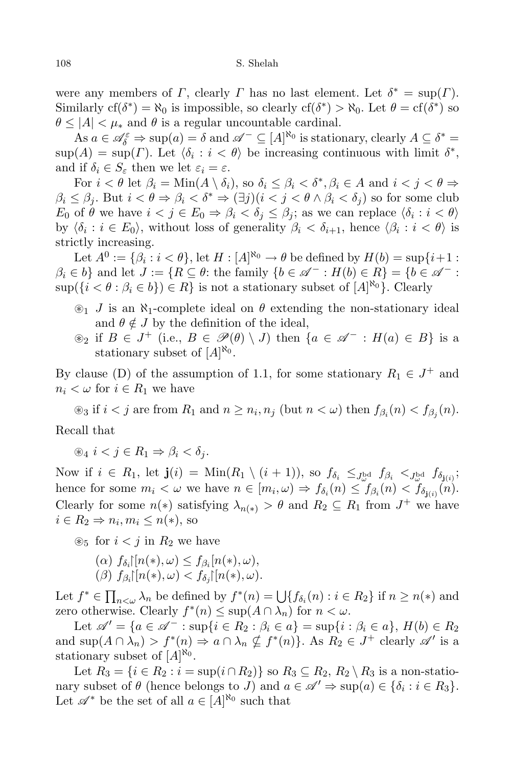were any members of  $\Gamma$ , clearly  $\Gamma$  has no last element. Let  $\delta^* = \sup(\Gamma)$ . Similarly  $cf(\delta^*) = \aleph_0$  is impossible, so clearly  $cf(\delta^*) > \aleph_0$ . Let  $\theta = cf(\delta^*)$  so  $\theta \leq |A| < \mu_*$  and  $\theta$  is a regular uncountable cardinal.

As  $a \in \mathscr{A}_{\delta}^{\varepsilon} \Rightarrow \sup(a) = \delta$  and  $\mathscr{A}^{-} \subseteq [A]^{\aleph_0}$  is stationary, clearly  $A \subseteq \delta^* =$  $\sup(A) = \sup(\Gamma)$ . Let  $\langle \delta_i : i < \theta \rangle$  be increasing continuous with limit  $\delta^*$ , and if  $\delta_i \in S_{\varepsilon}$  then we let  $\varepsilon_i = \varepsilon$ .

For  $i < \theta$  let  $\beta_i = \text{Min}(A \setminus \delta_i)$ , so  $\delta_i \leq \beta_i < \delta^*, \beta_i \in A$  and  $i < j < \theta \Rightarrow$  $\beta_i \leq \beta_j$ . But  $i < \theta \Rightarrow \beta_i < \delta^* \Rightarrow (\exists j)(i < j < \theta \land \beta_i < \delta_j)$  so for some club  $E_0$  of  $\theta$  we have  $i < j \in E_0 \Rightarrow \beta_i < \delta_j \leq \beta_j$ ; as we can replace  $\langle \delta_i : i < \theta \rangle$ by  $\langle \delta_i : i \in E_0 \rangle$ , without loss of generality  $\beta_i < \delta_{i+1}$ , hence  $\langle \beta_i : i \leq \theta \rangle$  is strictly increasing.

Let  $A^0 := \{\beta_i : i < \theta\}$ , let  $H : [A]^{\aleph_0} \to \theta$  be defined by  $H(b) = \sup\{i+1 :$  $\beta_i \in b$ } and let  $J := \{ R \subseteq \theta : \text{ the family } \{ b \in \mathcal{A}^- : H(b) \in R \} = \{ b \in \mathcal{A}^- :$  $\sup(\{i < \theta : \beta_i \in b\}) \in R\}$  is not a stationary subset of  $[A]^{\aleph_0}\}$ . Clearly

- $\otimes_1$  J is an  $\aleph_1$ -complete ideal on  $\theta$  extending the non-stationary ideal and  $\theta \notin J$  by the definition of the ideal,
- $\mathscr{L}_2$  if  $B \in J^+$  (i.e.,  $B \in \mathscr{P}(\theta) \setminus J$ ) then  $\{a \in \mathscr{A}^- : H(a) \in B\}$  is a stationary subset of  $[A]^{\aleph_0}$ .

By clause (D) of the assumption of 1.1, for some stationary  $R_1 \in J^+$  and  $n_i < \omega$  for  $i \in R_1$  we have

 $\mathcal{L}_3$  if  $i < j$  are from  $R_1$  and  $n \geq n_i, n_j$  (but  $n < \omega$ ) then  $f_{\beta_i}(n) < f_{\beta_j}(n)$ .

Recall that

 $\mathcal{B}_4$   $i < j \in R_1 \Rightarrow \beta_i < \delta_i$ .

Now if  $i \in R_1$ , let  $\mathbf{j}(i) = \text{Min}(R_1 \setminus (i+1)),$  so  $f_{\delta_i} \leq_{J_{\omega}^{\text{bd}}} f_{\beta_i} \lt_{J_{\omega}^{\text{bd}}} f_{\delta_{\mathbf{j}(i)}};$ hence for some  $m_i < \omega$  we have  $n \in [m_i, \omega) \Rightarrow f_{\delta_i}(n) \leq f_{\beta_i}(n) < f_{\delta_{\mathbf{j}(i)}}(n)$ . Clearly for some  $n(*)$  satisfying  $\lambda_{n(*)} > \theta$  and  $R_2 \subseteq R_1$  from  $J^+$  we have  $i \in R_2 \Rightarrow n_i, m_i \leq n(*)$ , so

<sup>®</sup><sub>5</sub> for  $i < j$  in  $R_2$  we have

$$
(\alpha) f_{\delta_i} \left[ n(*) , \omega \right] \leq f_{\beta_i} \left[ n(*) , \omega \right],
$$
  

$$
(\beta) f_{\beta_i} \left[ n(*) , \omega \right] < f_{\delta_j} \left[ n(*) , \omega \right].
$$

Let  $f^* \in \prod_{n<\omega} \lambda_n$  be defined by  $f^*(n) = \bigcup \{f_{\delta_i}(n) : i \in R_2\}$  if  $n \geq n(*)$  and zero otherwise. Clearly  $f^*(n) \leq \sup(A \cap \lambda_n)$  for  $n < \omega$ .

Let  $\mathscr{A}' = \{a \in \mathscr{A}^- : \sup\{i \in R_2 : \beta_i \in a\} = \sup\{i : \beta_i \in a\}, H(b) \in R_2\}$ and  $\sup(A \cap \lambda_n) > f^*(n) \Rightarrow a \cap \lambda_n \nsubseteq f^*(n)$ . As  $R_2 \in J^+$  clearly  $\mathscr{A}'$  is a stationary subset of  $[A]^{\aleph_0}$ .

Let  $R_3 = \{i \in R_2 : i = \sup(i \cap R_2)\}\$  so  $R_3 \subseteq R_2, R_2 \setminus R_3$  is a non-stationary subset of  $\theta$  (hence belongs to J) and  $a \in \mathscr{A}' \Rightarrow \sup(a) \in \{\delta_i : i \in R_3\}.$ Let  $\mathscr{A}^*$  be the set of all  $a \in [A]^{\aleph_0}$  such that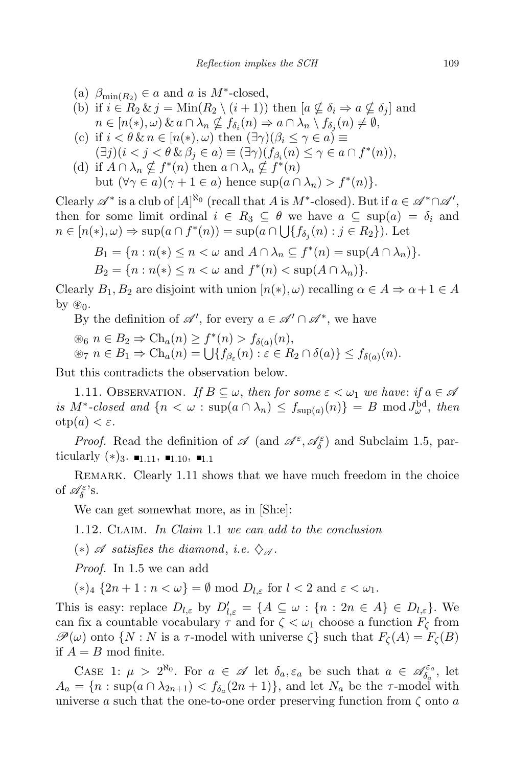- (a)  $\beta_{\min(R_2)} \in a$  and a is M<sup>\*</sup>-closed,
- (b) if  $i \in R_2 \& j = \text{Min}(R_2 \setminus (i+1))$  then  $[a \nsubseteq \delta_i \Rightarrow a \nsubseteq \delta_j]$  and  $n \in [n(*), \omega) \& a \cap \lambda_n \nsubseteq f_{\delta_i}(n) \Rightarrow a \cap \lambda_n \setminus f_{\delta_j}(n) \neq \emptyset,$
- (c) if  $i < \theta \& n \in [n(*), \omega)$  then  $(\exists \gamma)(\beta_i \leq \gamma \in a)$  $(\exists j)(i < j < \theta \& \beta_j \in a) \equiv (\exists \gamma)(f_{\beta_i}(n) \leq \gamma \in a \cap f^*(n)),$
- (d) if  $A \cap \lambda_n \nsubseteq f^*(n)$  then  $a \cap \lambda_n \nsubseteq f^*(n)$ but  $(\forall \gamma \in a)(\gamma + 1 \in a)$  hence  $\sup(a \cap \lambda_n) > f^*(n)$ .

Clearly  $\mathscr{A}^*$  is a club of  $[A]^{\aleph_0}$  (recall that A is  $M^*$ -closed). But if  $a \in \mathscr{A}^* \cap \mathscr{A}'$ , then for some limit ordinal  $i \in R_3 \subseteq \theta$  we have  $a \subseteq \text{sup}(a) = \delta_i$  and  $n \in [n(*), \omega) \Rightarrow \sup(a \cap f^*(n)) = \sup(a \cap \bigcup \{f_{\delta_j}(n) : j \in R_2\}).$  Let

$$
B_1 = \{ n : n(*) \le n < \omega \text{ and } A \cap \lambda_n \subseteq f^*(n) = \sup(A \cap \lambda_n) \}.
$$
  

$$
B_2 = \{ n : n(*) \le n < \omega \text{ and } f^*(n) < \sup(A \cap \lambda_n) \}.
$$

Clearly  $B_1, B_2$  are disjoint with union  $[n(*), \omega)$  recalling  $\alpha \in A \Rightarrow \alpha + 1 \in A$ by  $\mathcal{D}_0$ .

By the definition of  $\mathscr{A}'$ , for every  $a \in \mathscr{A}' \cap \mathscr{A}^*$ , we have

 $\mathcal{B}_6$   $n \in B_2 \Rightarrow \text{Ch}_a(n) \ge f^*(n) > f_{\delta(a)}(n),$  $\mathcal{B}_7 n \in B_1 \Rightarrow \text{Ch}_a(n) = \bigcup \{f_{\beta_{\varepsilon}}(n) : \varepsilon \in R_2 \cap \delta(a)\} \le f_{\delta(a)}(n).$ 

But this contradicts the observation below.

1.11. OBSERVATION. If  $B \subseteq \omega$ , then for some  $\varepsilon < \omega_1$  we have: if  $a \in \mathscr{A}$ is  $M^*$ -closed and  $\{n < \omega : \sup(a \cap \lambda_n) \leq f_{\sup(a)}(n)\} = B \mod J_{\omega}^{\mathrm{bd}}$ , then  $otp(a) < \varepsilon$ .

*Proof.* Read the definition of  $\mathscr{A}$  (and  $\mathscr{A}^{\varepsilon}, \mathscr{A}_{\delta}^{\varepsilon}$ ) and Subclaim 1.5, particularly  $(*)_3$ .  $\blacksquare$ <sub>1.11</sub>,  $\blacksquare$ <sub>1.10</sub>,  $\blacksquare$ <sub>1.1</sub>

Remark. Clearly 1.11 shows that we have much freedom in the choice of  $\mathscr{A}_{\delta}^{\varepsilon}$ 's.

We can get somewhat more, as in [Sh:e]:

1.12. CLAIM. In Claim 1.1 we can add to the conclusion

(\*)  $\mathscr A$  satisfies the diamond, i.e.  $\Diamond_{\mathscr A}$ .

Proof. In 1.5 we can add

 $(*)_4 \{2n+1 : n < \omega\} = \emptyset \text{ mod } D_{l,\varepsilon} \text{ for } l < 2 \text{ and } \varepsilon < \omega_1.$ 

This is easy: replace  $D_{l,\varepsilon}$  by  $D'_{l,\varepsilon} = \{A \subseteq \omega : \{n : 2n \in A\} \in D_{l,\varepsilon}\}.$  We can fix a countable vocabulary  $\tau$  and for  $\zeta < \omega_1$  choose a function  $F_{\zeta}$  from  $\mathscr{P}(\omega)$  onto  $\{N : N \text{ is a } \tau\text{-model with universe } \zeta\}$  such that  $F_{\zeta}(A) = F_{\zeta}(B)$ if  $A = B$  mod finite.

CASE 1:  $\mu > 2^{\aleph_0}$ . For  $a \in \mathscr{A}$  let  $\delta_a, \varepsilon_a$  be such that  $a \in \mathscr{A}_{\delta_a}^{\varepsilon_a}$  $\begin{array}{c} \ell^{\varepsilon_a}_{\delta_a}, \text{ let} \end{array}$  $A_a = \{n : \sup(a \cap \lambda_{2n+1}) < f_{\delta_a}(2n+1)\},\$ and let  $N_a$  be the  $\tau$ -model with universe a such that the one-to-one order preserving function from  $\zeta$  onto a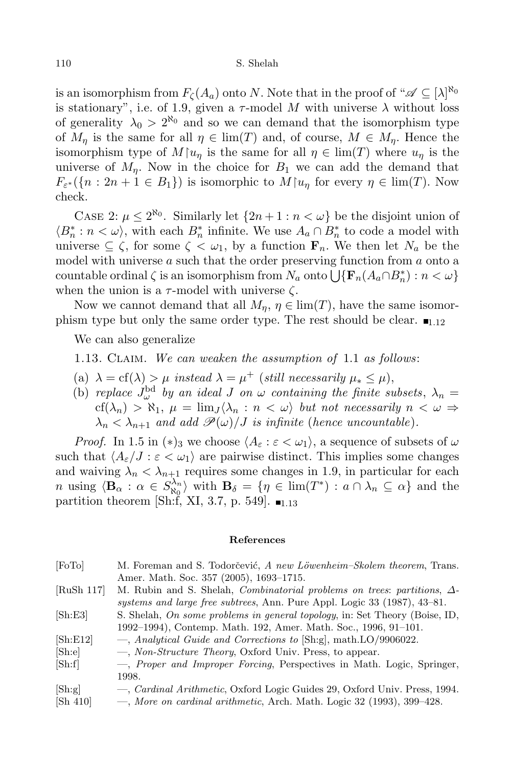is an isomorphism from  $F_{\zeta}(A_a)$  onto N. Note that in the proof of " $\mathscr{A} \subseteq [\lambda]^{\aleph_0}$ is stationary", i.e. of 1.9, given a  $\tau$ -model M with universe  $\lambda$  without loss of generality  $\lambda_0 > 2^{\aleph_0}$  and so we can demand that the isomorphism type of  $M_{\eta}$  is the same for all  $\eta \in \text{lim}(T)$  and, of course,  $M \in M_{\eta}$ . Hence the isomorphism type of  $M\upharpoonright u_n$  is the same for all  $\eta \in \lim(T)$  where  $u_n$  is the universe of  $M_n$ . Now in the choice for  $B_1$  we can add the demand that  $F_{\varepsilon^*}(\{n:2n+1\in B_1\})$  is isomorphic to  $M\vert u_\eta$  for every  $\eta\in\lim(T)$ . Now check.

CASE 2:  $\mu \leq 2^{\aleph_0}$ . Similarly let  $\{2n+1 : n < \omega\}$  be the disjoint union of  $\langle B_n^* : n \langle \omega \rangle$ , with each  $B_n^*$  infinite. We use  $A_a \cap B_n^*$  to code a model with universe  $\subseteq \zeta$ , for some  $\zeta < \omega_1$ , by a function  $\mathbf{F}_n$ . We then let  $N_a$  be the model with universe  $a$  such that the order preserving function from  $a$  onto a countable ordinal  $\zeta$  is an isomorphism from  $N_a$  onto  $\bigcup {\{F_n(A_a \cap B_n^*) : n < \omega\}}$ when the union is a  $\tau$ -model with universe  $\zeta$ .

Now we cannot demand that all  $M_{\eta}$ ,  $\eta \in \text{lim}(T)$ , have the same isomorphism type but only the same order type. The rest should be clear.  $\blacksquare$ 

We can also generalize

1.13. CLAIM. We can weaken the assumption of 1.1 as follows:

- (a)  $\lambda = cf(\lambda) > \mu$  instead  $\lambda = \mu^+$  (still necessarily  $\mu_* \leq \mu$ ),
- (b) replace  $J_{\omega}^{\rm bd}$  by an ideal J on  $\omega$  containing the finite subsets,  $\lambda_n =$ cf( $\lambda_n$ ) >  $\aleph_1$ ,  $\mu = \lim_{\lambda \to \infty} \lambda_n$  :  $n < \omega$  but not necessarily  $n < \omega \Rightarrow$  $\lambda_n < \lambda_{n+1}$  and add  $\mathscr{P}(\omega)/J$  is infinite (hence uncountable).

*Proof.* In 1.5 in  $(*)_3$  we choose  $\langle A_\varepsilon : \varepsilon < \omega_1 \rangle$ , a sequence of subsets of  $\omega$ such that  $\langle A_{\varepsilon}/J : \varepsilon < \omega_1 \rangle$  are pairwise distinct. This implies some changes and waiving  $\lambda_n < \lambda_{n+1}$  requires some changes in 1.9, in particular for each *n* using  $\langle \mathbf{B}_{\alpha} : \alpha \in S_{\aleph_{0}}^{\lambda_{n}} \rangle$  $\langle \lambda_n \rangle$  with  $\mathbf{B}_{\delta} = \{ \eta \in \text{lim}(T^*) : a \cap \lambda_n \subseteq \alpha \}$  and the partition theorem [Sh:f, XI, 3.7, p. 549].  $\blacksquare$ <sub>1.13</sub>

## References

| [FoTo]     | M. Foreman and S. Todorčević, A new Löwenheim–Skolem theorem, Trans.                                 |
|------------|------------------------------------------------------------------------------------------------------|
|            | Amer. Math. Soc. 357 (2005), 1693–1715.                                                              |
| [RuSh 117] | M. Rubin and S. Shelah, <i>Combinatorial problems on trees: partitions</i> , $\Delta$ -              |
|            | systems and large free subtrees, Ann. Pure Appl. Logic 33 (1987), 43–81.                             |
| [Sh:Eq]    | S. Shelah, On some problems in general topology, in: Set Theory (Boise, ID,                          |
|            | 1992–1994), Contemp. Math. 192, Amer. Math. Soc., 1996, 91–101.                                      |
| [Sh: E12]  | $\rightarrow$ , Analytical Guide and Corrections to $\lbrack \text{Sh:g} \rbrack$ , math.LO/9906022. |
| [Sh:e]     | $\rightarrow$ , Non-Structure Theory, Oxford Univ. Press, to appear.                                 |
| [Sh:fl]    | -, Proper and Improper Forcing, Perspectives in Math. Logic, Springer,                               |
|            | 1998.                                                                                                |
| [Sh:g]     | -, Cardinal Arithmetic, Oxford Logic Guides 29, Oxford Univ. Press, 1994.                            |
| [Sh 410]   | $\rightarrow$ , More on cardinal arithmetic, Arch. Math. Logic 32 (1993), 399–428.                   |